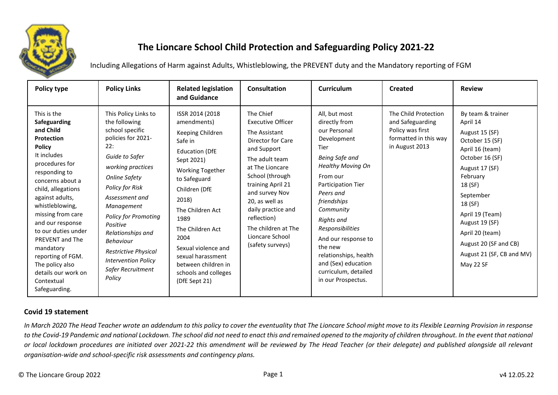

# **The Lioncare School Child Protection and Safeguarding Policy 2021-22**

Including Allegations of Harm against Adults, Whistleblowing, the PREVENT duty and the Mandatory reporting of FGM

| Policy type                                                                                                                                                                                                                                                                                                                                                                                                           | <b>Policy Links</b>                                                                                                                                                                                                                                                                                                                                                              | <b>Related legislation</b><br>and Guidance                                                                                                                                                                                                                                                                                                     | <b>Consultation</b>                                                                                                                                                                                                                                                                                            | Curriculum                                                                                                                                                                                                                                                                                                                                                              | <b>Created</b>                                                                                          | <b>Review</b>                                                                                                                                                                                                                                                                                        |
|-----------------------------------------------------------------------------------------------------------------------------------------------------------------------------------------------------------------------------------------------------------------------------------------------------------------------------------------------------------------------------------------------------------------------|----------------------------------------------------------------------------------------------------------------------------------------------------------------------------------------------------------------------------------------------------------------------------------------------------------------------------------------------------------------------------------|------------------------------------------------------------------------------------------------------------------------------------------------------------------------------------------------------------------------------------------------------------------------------------------------------------------------------------------------|----------------------------------------------------------------------------------------------------------------------------------------------------------------------------------------------------------------------------------------------------------------------------------------------------------------|-------------------------------------------------------------------------------------------------------------------------------------------------------------------------------------------------------------------------------------------------------------------------------------------------------------------------------------------------------------------------|---------------------------------------------------------------------------------------------------------|------------------------------------------------------------------------------------------------------------------------------------------------------------------------------------------------------------------------------------------------------------------------------------------------------|
| This is the<br><b>Safeguarding</b><br>and Child<br><b>Protection</b><br><b>Policy</b><br>It includes<br>procedures for<br>responding to<br>concerns about a<br>child, allegations<br>against adults,<br>whistleblowing,<br>missing from care<br>and our response<br>to our duties under<br>PREVENT and The<br>mandatory<br>reporting of FGM.<br>The policy also<br>details our work on<br>Contextual<br>Safeguarding. | This Policy Links to<br>the following<br>school specific<br>policies for 2021-<br>22:<br>Guide to Safer<br>working practices<br><b>Online Safety</b><br>Policy for Risk<br>Assessment and<br>Management<br><b>Policy for Promoting</b><br>Positive<br>Relationships and<br><b>Behaviour</b><br>Restrictive Physical<br><b>Intervention Policy</b><br>Safer Recruitment<br>Policy | ISSR 2014 (2018)<br>amendments)<br>Keeping Children<br>Safe in<br><b>Education (DfE</b><br>Sept 2021)<br><b>Working Together</b><br>to Safeguard<br>Children (DfE<br>2018)<br>The Children Act<br>1989<br>The Children Act<br>2004<br>Sexual violence and<br>sexual harassment<br>between children in<br>schools and colleges<br>(DfE Sept 21) | The Chief<br><b>Executive Officer</b><br>The Assistant<br>Director for Care<br>and Support<br>The adult team<br>at The Lioncare<br>School (through<br>training April 21<br>and survey Nov<br>20. as well as<br>daily practice and<br>reflection)<br>The children at The<br>Lioncare School<br>(safety surveys) | All, but most<br>directly from<br>our Personal<br>Development<br>Tier<br>Being Safe and<br><b>Healthy Moving On</b><br>From our<br>Participation Tier<br>Peers and<br>friendships<br>Community<br><b>Rights</b> and<br>Responsibilities<br>And our response to<br>the new<br>relationships, health<br>and (Sex) education<br>curriculum, detailed<br>in our Prospectus. | The Child Protection<br>and Safeguarding<br>Policy was first<br>formatted in this way<br>in August 2013 | By team & trainer<br>April 14<br>August 15 (SF)<br>October 15 (SF)<br>April 16 (team)<br>October 16 (SF)<br>August 17 (SF)<br>February<br>18 (SF)<br>September<br>18 (SF)<br>April 19 (Team)<br>August 19 (SF)<br>April 20 (team)<br>August 20 (SF and CB)<br>August 21 (SF, CB and MV)<br>May 22 SF |

# **Covid 19 statement**

*In March 2020 The Head Teacher wrote an addendum to this policy to cover the eventuality that The Lioncare School might move to its Flexible Learning Provision in response to the Covid-19 Pandemic and national Lockdown. The school did not need to enact this and remained opened to the majority of children throughout. In the event that national or local lockdown procedures are initiated over 2021-22 this amendment will be reviewed by The Head Teacher (or their delegate) and published alongside all relevant organisation-wide and school-specific risk assessments and contingency plans.*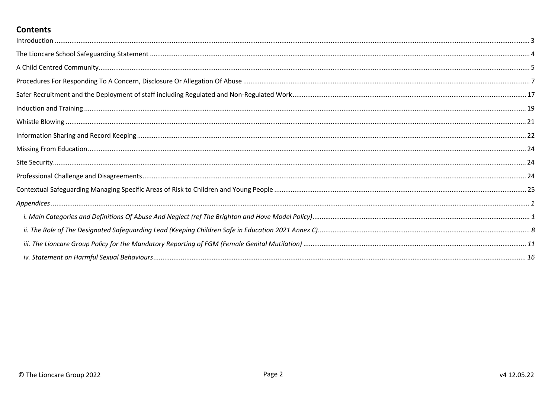# **Contents**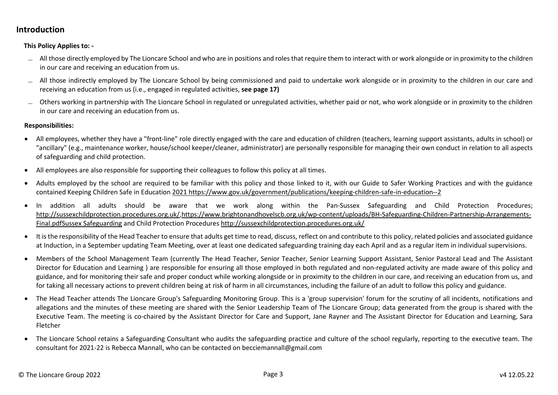# <span id="page-2-0"></span>**Introduction**

**This Policy Applies to: -** 

- ̶ All those directly employed by The Lioncare School and who are in positions and roles that require them to interact with or work alongside or in proximity to the children in our care and receiving an education from us.
- $\sim$  All those indirectly employed by The Lioncare School by being commissioned and paid to undertake work alongside or in proximity to the children in our care and receiving an education from us (i.e., engaged in regulated activities, **see page 17)**
- ̶ Others working in partnership with The Lioncare School in regulated or unregulated activities, whether paid or not, who work alongside or in proximity to the children in our care and receiving an education from us.

#### **Responsibilities:**

- All employees, whether they have a "front-line" role directly engaged with the care and education of children (teachers, learning support assistants, adults in school) or "ancillary" (e.g., maintenance worker, house/school keeper/cleaner, administrator) are personally responsible for managing their own conduct in relation to all aspects of safeguarding and child protection.
- All employees are also responsible for supporting their colleagues to follow this policy at all times.
- Adults employed by the school are required to be familiar with this policy and those linked to it, with our Guide to Safer Working Practices and with the guidance contained Keeping Children Safe in Education 2021 https://www.gov.uk/government/publications/keeping-children-safe-in-education--2
- In addition all adults should be aware that we work along within the Pan-Sussex Safeguarding and Child Protection Procedures; http://sussexchildprotection.procedures.org.uk/,https://www.brightonandhovelscb.org.uk/wp-content/uploads/BH-Safeguarding-Children-Partnership-Arrangements-Final.pdfSussex Safeguarding and Child Protection Procedures http://sussexchildprotection.procedures.org.uk/
- It is the responsibility of the Head Teacher to ensure that adults get time to read, discuss, reflect on and contribute to this policy, related policies and associated guidance at Induction, in a September updating Team Meeting, over at least one dedicated safeguarding training day each April and as a regular item in individual supervisions.
- Members of the School Management Team (currently The Head Teacher, Senior Teacher, Senior Learning Support Assistant, Senior Pastoral Lead and The Assistant Director for Education and Learning ) are responsible for ensuring all those employed in both regulated and non-regulated activity are made aware of this policy and guidance, and for monitoring their safe and proper conduct while working alongside or in proximity to the children in our care, and receiving an education from us, and for taking all necessary actions to prevent children being at risk of harm in all circumstances, including the failure of an adult to follow this policy and guidance.
- The Head Teacher attends The Lioncare Group's Safeguarding Monitoring Group. This is a 'group supervision' forum for the scrutiny of all incidents, notifications and allegations and the minutes of these meeting are shared with the Senior Leadership Team of The Lioncare Group; data generated from the group is shared with the Executive Team. The meeting is co-chaired by the Assistant Director for Care and Support, Jane Rayner and The Assistant Director for Education and Learning, Sara Fletcher
- The Lioncare School retains a Safeguarding Consultant who audits the safeguarding practice and culture of the school regularly, reporting to the executive team. The consultant for 2021-22 is Rebecca Mannall, who can be contacted on becciemannall@gmail.com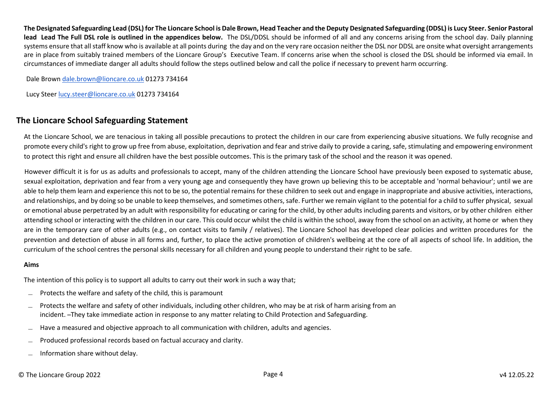**The Designated Safeguarding Lead (DSL) for The Lioncare School is Dale Brown, Head Teacher and the Deputy Designated Safeguarding (DDSL) is Lucy Steer. Senior Pastoral**  lead Lead The Full DSL role is outlined in the appendices below. The DSL/DDSL should be informed of all and any concerns arising from the school day. Daily planning systems ensure that all staff know who is available at all points during the day and on the very rare occasion neither the DSL nor DDSL are onsite what oversight arrangements are in place from suitably trained members of the Lioncare Group's Executive Team. If concerns arise when the school is closed the DSL should be informed via email. In circumstances of immediate danger all adults should follow the steps outlined below and call the police if necessary to prevent harm occurring.

Dale Brown [dale.brown@lioncare.co.uk](mailto:dale.brown@lioncare.co.uk) 01273 734164

<span id="page-3-0"></span>Lucy Steer [lucy.steer@lioncare.co.uk](mailto:lucy.steer@lioncare.co.uk) 01273 734164

# **The Lioncare School Safeguarding Statement**

At the Lioncare School, we are tenacious in taking all possible precautions to protect the children in our care from experiencing abusive situations. We fully recognise and promote every child's right to grow up free from abuse, exploitation, deprivation and fear and strive daily to provide a caring, safe, stimulating and empowering environment to protect this right and ensure all children have the best possible outcomes. This is the primary task of the school and the reason it was opened.

However difficult it is for us as adults and professionals to accept, many of the children attending the Lioncare School have previously been exposed to systematic abuse, sexual exploitation, deprivation and fear from a very young age and consequently they have grown up believing this to be acceptable and 'normal behaviour'; until we are able to help them learn and experience this not to be so, the potential remains for these children to seek out and engage in inappropriate and abusive activities, interactions, and relationships, and by doing so be unable to keep themselves, and sometimes others, safe. Further we remain vigilant to the potential for a child to suffer physical, sexual or emotional abuse perpetrated by an adult with responsibility for educating or caring for the child, by other adults including parents and visitors, or by other children either attending school or interacting with the children in our care. This could occur whilst the child is within the school, away from the school on an activity, at home or when they are in the temporary care of other adults (e.g., on contact visits to family / relatives). The Lioncare School has developed clear policies and written procedures for the prevention and detection of abuse in all forms and, further, to place the active promotion of children's wellbeing at the core of all aspects of school life. In addition, the curriculum of the school centres the personal skills necessary for all children and young people to understand their right to be safe.

#### **Aims**

The intention of this policy is to support all adults to carry out their work in such a way that;

- ̶ Protects the welfare and safety of the child, this is paramount
- ̶ Protects the welfare and safety of other individuals, including other children, who may be at risk of harm arising from an incident. ̶ They take immediate action in response to any matter relating to Child Protection and Safeguarding.
- ̶ Have a measured and objective approach to all communication with children, adults and agencies.
- ̶ Produced professional records based on factual accuracy and clarity.
- ̶ Information share without delay.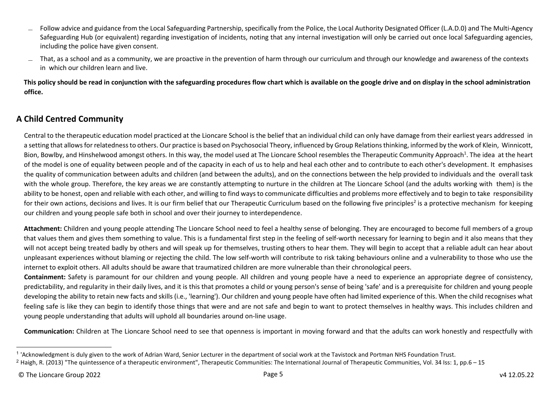- ̶ Follow advice and guidance from the Local Safeguarding Partnership, specifically from the Police, the Local Authority Designated Officer (L.A.D.0) and The Multi-Agency Safeguarding Hub (or equivalent) regarding investigation of incidents, noting that any internal investigation will only be carried out once local Safeguarding agencies, including the police have given consent.
- ̶ That, as a school and as a community, we are proactive in the prevention of harm through our curriculum and through our knowledge and awareness of the contexts in which our children learn and live.

**This policy should be read in conjunction with the safeguarding procedures flow chart which is available on the google drive and on display in the school administration office.** 

# <span id="page-4-0"></span>**A Child Centred Community**

Central to the therapeutic education model practiced at the Lioncare School is the belief that an individual child can only have damage from their earliest years addressed in a setting that allows for relatedness to others. Our practice is based on Psychosocial Theory, influenced by Group Relations thinking, informed by the work of Klein, Winnicott, Bion, Bowlby, and Hinshelwood amongst others. In this way, the model used at The Lioncare School resembles the Therapeutic Community Approach<sup>1</sup>. The idea at the heart of the model is one of equality between people and of the capacity in each of us to help and heal each other and to contribute to each other's development. It emphasises the quality of communication between adults and children (and between the adults), and on the connections between the help provided to individuals and the overall task with the whole group. Therefore, the key areas we are constantly attempting to nurture in the children at The Lioncare School (and the adults working with them) is the ability to be honest, open and reliable with each other, and willing to find ways to communicate difficulties and problems more effectively and to begin to take responsibility for their own actions, decisions and lives. It is our firm belief that our Therapeutic Curriculum based on the following five principles<sup>2</sup> is a protective mechanism for keeping our children and young people safe both in school and over their journey to interdependence.

**Attachment:** Children and young people attending The Lioncare School need to feel a healthy sense of belonging. They are encouraged to become full members of a group that values them and gives them something to value. This is a fundamental first step in the feeling of self-worth necessary for learning to begin and it also means that they will not accept being treated badly by others and will speak up for themselves, trusting others to hear them. They will begin to accept that a reliable adult can hear about unpleasant experiences without blaming or rejecting the child. The low self-worth will contribute to risk taking behaviours online and a vulnerability to those who use the internet to exploit others. All adults should be aware that traumatized children are more vulnerable than their chronological peers.

**Containment:** Safety is paramount for our children and young people. All children and young people have a need to experience an appropriate degree of consistency, predictability, and regularity in their daily lives, and it is this that promotes a child or young person's sense of being 'safe' and is a prerequisite for children and young people developing the ability to retain new facts and skills (i.e., 'learning'). Our children and young people have often had limited experience of this. When the child recognises what feeling safe is like they can begin to identify those things that were and are not safe and begin to want to protect themselves in healthy ways. This includes children and young people understanding that adults will uphold all boundaries around on-line usage.

**Communication:** Children at The Lioncare School need to see that openness is important in moving forward and that the adults can work honestly and respectfully with

<sup>&</sup>lt;sup>1</sup> 'Acknowledgment is duly given to the work of Adrian Ward, Senior Lecturer in the department of social work at the Tavistock and Portman NHS Foundation Trust.

<sup>&</sup>lt;sup>2</sup> Haigh, R. (2013) "The quintessence of a therapeutic environment", Therapeutic Communities: The International Journal of Therapeutic Communities, Vol. 34 Iss: 1, pp.6 – 15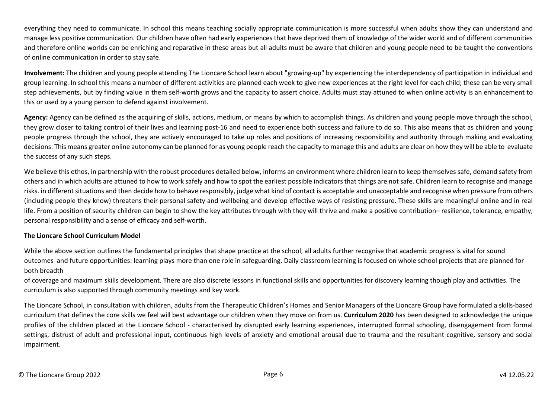everything they need to communicate. In school this means teaching socially appropriate communication is more successful when adults show they can understand and manage less positive communication. Our children have often had early experiences that have deprived them of knowledge of the wider world and of different communities and therefore online worlds can be enriching and reparative in these areas but all adults must be aware that children and young people need to be taught the conventions of online communication in order to stay safe.

**Involvement:** The children and young people attending The Lioncare School learn about "growing-up" by experiencing the interdependency of participation in individual and group learning. In school this means a number of different activities are planned each week to give new experiences at the right level for each child; these can be very small step achievements, but by finding value in them self-worth grows and the capacity to assert choice. Adults must stay attuned to when online activity is an enhancement to this or used by a young person to defend against involvement.

Agency: Agency can be defined as the acquiring of skills, actions, medium, or means by which to accomplish things. As children and young people move through the school, they grow closer to taking control of their lives and learning post-16 and need to experience both success and failure to do so. This also means that as children and young people progress through the school, they are actively encouraged to take up roles and positions of increasing responsibility and authority through making and evaluating decisions. This means greater online autonomy can be planned for as young people reach the capacity to manage this and adults are clear on how they will be able to evaluate the success of any such steps.

We believe this ethos, in partnership with the robust procedures detailed below, informs an environment where children learn to keep themselves safe, demand safety from others and in which adults are attuned to how to work safely and how to spot the earliest possible indicators that things are not safe. Children learn to recognise and manage risks. in different situations and then decide how to behave responsibly, judge what kind of contact is acceptable and unacceptable and recognise when pressure from others (including people they know) threatens their personal safety and wellbeing and develop effective ways of resisting pressure. These skills are meaningful online and in real life. From a position of security children can begin to show the key attributes through with they will thrive and make a positive contribution– resilience, tolerance, empathy, personal responsibility and a sense of efficacy and self-worth.

#### **The Lioncare School Curriculum Model**

While the above section outlines the fundamental principles that shape practice at the school, all adults further recognise that academic progress is vital for sound outcomes and future opportunities: learning plays more than one role in safeguarding. Daily classroom learning is focused on whole school projects that are planned for both breadth

of coverage and maximum skills development. There are also discrete lessons in functional skills and opportunities for discovery learning though play and activities. The curriculum is also supported through community meetings and key work.

The Lioncare School, in consultation with children, adults from the Therapeutic Children's Homes and Senior Managers of the Lioncare Group have formulated a skills-based curriculum that defines the core skills we feel will best advantage our children when they move on from us. **Curriculum 2020** has been designed to acknowledge the unique profiles of the children placed at the Lioncare School - characterised by disrupted early learning experiences, interrupted formal schooling, disengagement from formal settings, distrust of adult and professional input, continuous high levels of anxiety and emotional arousal due to trauma and the resultant cognitive, sensory and social impairment.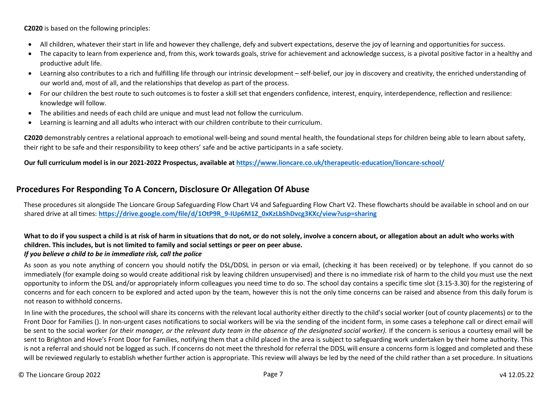**C2020** is based on the following principles:

- All children, whatever their start in life and however they challenge, defy and subvert expectations, deserve the joy of learning and opportunities for success.
- The capacity to learn from experience and, from this, work towards goals, strive for achievement and acknowledge success, is a pivotal positive factor in a healthy and productive adult life.
- Learning also contributes to a rich and fulfilling life through our intrinsic development self-belief, our joy in discovery and creativity, the enriched understanding of our world and, most of all, and the relationships that develop as part of the process.
- For our children the best route to such outcomes is to foster a skill set that engenders confidence, interest, enquiry, interdependence, reflection and resilience: knowledge will follow.
- The abilities and needs of each child are unique and must lead not follow the curriculum.
- Learning is learning and all adults who interact with our children contribute to their curriculum.

**C2020** demonstrably centres a relational approach to emotional well-being and sound mental health, the foundational steps for children being able to learn about safety, their right to be safe and their responsibility to keep others' safe and be active participants in a safe society.

<span id="page-6-0"></span>**Our full curriculum model is in our 2021-2022 Prospectus, available at https://www.lioncare.co.uk/therapeutic-education/lioncare-school/** 

# **Procedures For Responding To A Concern, Disclosure Or Allegation Of Abuse**

These procedures sit alongside The Lioncare Group Safeguarding Flow Chart V4 and Safeguarding Flow Chart V2. These flowcharts should be available in school and on our shared drive at all times: **https://drive.google.com/file/d/1OtP9R\_9-IUp6M1Z\_0xKzLbShDvcg3KXc/view?usp=sharing** 

## What to do if you suspect a child is at risk of harm in situations that do not, or do not solely, involve a concern about, or allegation about an adult who works with **children. This includes, but is not limited to family and social settings or peer on peer abuse.**

### *If you believe a child to be in immediate risk, call the police*

As soon as you note anything of concern you should notify the DSL/DDSL in person or via email, (checking it has been received) or by telephone. If you cannot do so immediately (for example doing so would create additional risk by leaving children unsupervised) and there is no immediate risk of harm to the child you must use the next opportunity to inform the DSL and/or appropriately inform colleagues you need time to do so. The school day contains a specific time slot (3.15-3.30) for the registering of concerns and for each concern to be explored and acted upon by the team, however this is not the only time concerns can be raised and absence from this daily forum is not reason to withhold concerns.

In line with the procedures, the school will share its concerns with the relevant local authority either directly to the child's social worker (out of county placements) or to the Front Door for Families (). In non-urgent cases notifications to social workers will be via the sending of the incident form, in some cases a telephone call or direct email will be sent to the social worker *(or their manager, or the relevant duty team in the absence of the designated social worker)*. If the concern is serious a courtesy email will be sent to Brighton and Hove's Front Door for Families, notifying them that a child placed in the area is subject to safeguarding work undertaken by their home authority. This is not a referral and should not be logged as such. If concerns do not meet the threshold for referral the DDSL will ensure a concerns form is logged and completed and these will be reviewed regularly to establish whether further action is appropriate. This review will always be led by the need of the child rather than a set procedure. In situations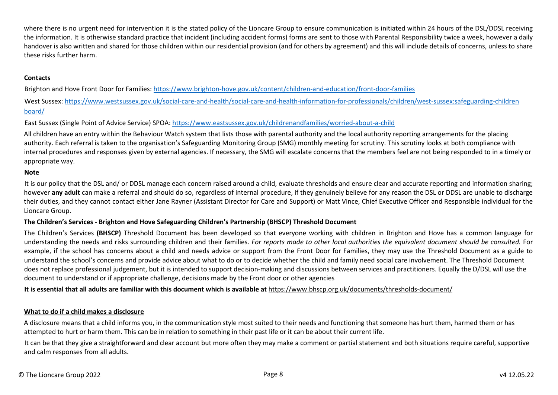where there is no urgent need for intervention it is the stated policy of the Lioncare Group to ensure communication is initiated within 24 hours of the DSL/DDSL receiving the information. It is otherwise standard practice that incident (including accident forms) forms are sent to those with Parental Responsibility twice a week, however a daily handover is also written and shared for those children within our residential provision (and for others by agreement) and this will include details of concerns, unless to share these risks further harm.

### **Contacts**

Brighton and Hove Front Door for Families: https://www.brighton-hove.gov.uk/content/children-and-education/front-door-families

West Sussex: https://www.westsussex.gov.uk/social-care-and-health/social-care-and-health-information-for-professionals/children/west-sussex:safeguarding-children board/

East Sussex (Single Point of Advice Service) SPOA: https://www.eastsussex.gov.uk/childrenandfamilies/worried-about-a-child

All children have an entry within the Behaviour Watch system that lists those with parental authority and the local authority reporting arrangements for the placing authority. Each referral is taken to the organisation's Safeguarding Monitoring Group (SMG) monthly meeting for scrutiny. This scrutiny looks at both compliance with internal procedures and responses given by external agencies. If necessary, the SMG will escalate concerns that the members feel are not being responded to in a timely or appropriate way.

#### **Note**

It is our policy that the DSL and/ or DDSL manage each concern raised around a child, evaluate thresholds and ensure clear and accurate reporting and information sharing; however **any adult** can make a referral and should do so, regardless of internal procedure, if they genuinely believe for any reason the DSL or DDSL are unable to discharge their duties, and they cannot contact either Jane Rayner (Assistant Director for Care and Support) or Matt Vince, Chief Executive Officer and Responsible individual for the Lioncare Group.

#### **The Children's Services - Brighton and Hove Safeguarding Children's Partnership (BHSCP) Threshold Document**

The Children's Services **(BHSCP)** Threshold Document has been developed so that everyone working with children in Brighton and Hove has a common language for understanding the needs and risks surrounding children and their families. *For reports made to other local authorities the equivalent document should be consulted.* For example, if the school has concerns about a child and needs advice or support from the Front Door for Families, they may use the Threshold Document as a guide to understand the school's concerns and provide advice about what to do or to decide whether the child and family need social care involvement. The Threshold Document does not replace professional judgement, but it is intended to support decision-making and discussions between services and practitioners. Equally the D/DSL will use the document to understand or if appropriate challenge, decisions made by the Front door or other agencies

**It is essential that all adults are familiar with this document which is available at** https://www.bhscp.org.uk/documents/thresholds-document/

#### **What to do if a child makes a disclosure**

A disclosure means that a child informs you, in the communication style most suited to their needs and functioning that someone has hurt them, harmed them or has attempted to hurt or harm them. This can be in relation to something in their past life or it can be about their current life.

It can be that they give a straightforward and clear account but more often they may make a comment or partial statement and both situations require careful, supportive and calm responses from all adults.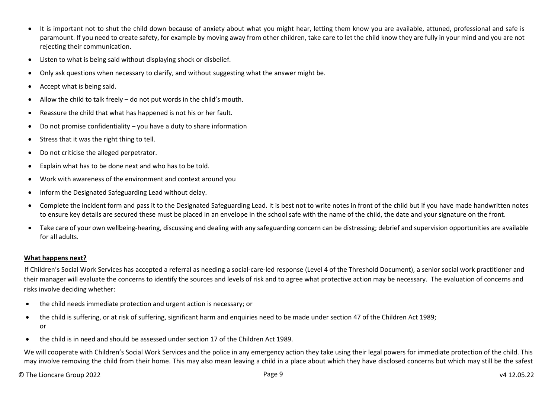- It is important not to shut the child down because of anxiety about what you might hear, letting them know you are available, attuned, professional and safe is paramount. If you need to create safety, for example by moving away from other children, take care to let the child know they are fully in your mind and you are not rejecting their communication.
- Listen to what is being said without displaying shock or disbelief.
- Only ask questions when necessary to clarify, and without suggesting what the answer might be.
- Accept what is being said.
- Allow the child to talk freely do not put words in the child's mouth.
- Reassure the child that what has happened is not his or her fault.
- Do not promise confidentiality you have a duty to share information
- Stress that it was the right thing to tell.
- Do not criticise the alleged perpetrator.
- Explain what has to be done next and who has to be told.
- Work with awareness of the environment and context around you
- Inform the Designated Safeguarding Lead without delay.
- Complete the incident form and pass it to the Designated Safeguarding Lead. It is best not to write notes in front of the child but if you have made handwritten notes to ensure key details are secured these must be placed in an envelope in the school safe with the name of the child, the date and your signature on the front.
- Take care of your own wellbeing-hearing, discussing and dealing with any safeguarding concern can be distressing; debrief and supervision opportunities are available for all adults.

### **What happens next?**

If Children's Social Work Services has accepted a referral as needing a social-care-led response (Level 4 of the Threshold Document), a senior social work practitioner and their manager will evaluate the concerns to identify the sources and levels of risk and to agree what protective action may be necessary. The evaluation of concerns and risks involve deciding whether:

- the child needs immediate protection and urgent action is necessary; or
- the child is suffering, or at risk of suffering, significant harm and enquiries need to be made under section 47 of the Children Act 1989; or
- the child is in need and should be assessed under section 17 of the Children Act 1989.

We will cooperate with Children's Social Work Services and the police in any emergency action they take using their legal powers for immediate protection of the child. This may involve removing the child from their home. This may also mean leaving a child in a place about which they have disclosed concerns but which may still be the safest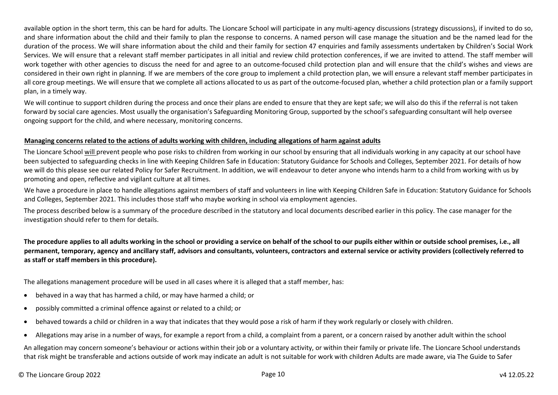available option in the short term, this can be hard for adults. The Lioncare School will participate in any multi-agency discussions (strategy discussions), if invited to do so, and share information about the child and their family to plan the response to concerns. A named person will case manage the situation and be the named lead for the duration of the process. We will share information about the child and their family for section 47 enquiries and family assessments undertaken by Children's Social Work Services. We will ensure that a relevant staff member participates in all initial and review child protection conferences, if we are invited to attend. The staff member will work together with other agencies to discuss the need for and agree to an outcome-focused child protection plan and will ensure that the child's wishes and views are considered in their own right in planning. If we are members of the core group to implement a child protection plan, we will ensure a relevant staff member participates in all core group meetings. We will ensure that we complete all actions allocated to us as part of the outcome-focused plan, whether a child protection plan or a family support plan, in a timely way.

We will continue to support children during the process and once their plans are ended to ensure that they are kept safe; we will also do this if the referral is not taken forward by social care agencies. Most usually the organisation's Safeguarding Monitoring Group, supported by the school's safeguarding consultant will help oversee ongoing support for the child, and where necessary, monitoring concerns.

#### **Managing concerns related to the actions of adults working with children, including allegations of harm against adults**

The Lioncare School will prevent people who pose risks to children from working in our school by ensuring that all individuals working in any capacity at our school have been subjected to safeguarding checks in line with Keeping Children Safe in Education: Statutory Guidance for Schools and Colleges, September 2021. For details of how we will do this please see our related Policy for Safer Recruitment. In addition, we will endeavour to deter anyone who intends harm to a child from working with us by promoting and open, reflective and vigilant culture at all times.

We have a procedure in place to handle allegations against members of staff and volunteers in line with Keeping Children Safe in Education: Statutory Guidance for Schools and Colleges, September 2021. This includes those staff who maybe working in school via employment agencies.

The process described below is a summary of the procedure described in the statutory and local documents described earlier in this policy. The case manager for the investigation should refer to them for details.

**The procedure applies to all adults working in the school or providing a service on behalf of the school to our pupils either within or outside school premises, i.e., all permanent, temporary, agency and ancillary staff, advisors and consultants, volunteers, contractors and external service or activity providers (collectively referred to as staff or staff members in this procedure).** 

The allegations management procedure will be used in all cases where it is alleged that a staff member, has:

- behaved in a way that has harmed a child, or may have harmed a child; or
- possibly committed a criminal offence against or related to a child; or
- behaved towards a child or children in a way that indicates that they would pose a risk of harm if they work regularly or closely with children.
- Allegations may arise in a number of ways, for example a report from a child, a complaint from a parent, or a concern raised by another adult within the school

An allegation may concern someone's behaviour or actions within their job or a voluntary activity, or within their family or private life. The Lioncare School understands that risk might be transferable and actions outside of work may indicate an adult is not suitable for work with children Adults are made aware, via The Guide to Safer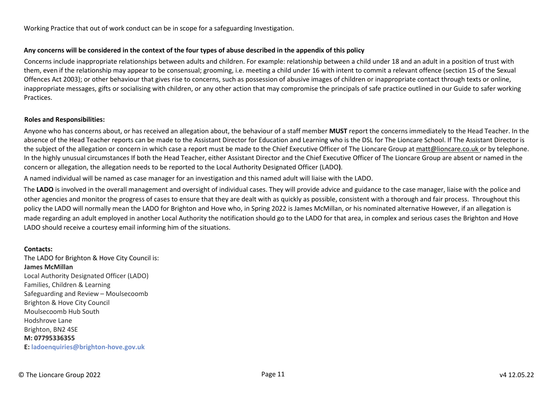Working Practice that out of work conduct can be in scope for a safeguarding Investigation.

#### **Any concerns will be considered in the context of the four types of abuse described in the appendix of this policy**

Concerns include inappropriate relationships between adults and children. For example: relationship between a child under 18 and an adult in a position of trust with them, even if the relationship may appear to be consensual; grooming, i.e. meeting a child under 16 with intent to commit a relevant offence (section 15 of the Sexual Offences Act 2003); or other behaviour that gives rise to concerns, such as possession of abusive images of children or inappropriate contact through texts or online, inappropriate messages, gifts or socialising with children, or any other action that may compromise the principals of safe practice outlined in our Guide to safer working Practices.

#### **Roles and Responsibilities:**

Anyone who has concerns about, or has received an allegation about, the behaviour of a staff member **MUST** report the concerns immediately to the Head Teacher. In the absence of the Head Teacher reports can be made to the Assistant Director for Education and Learning who is the DSL for The Lioncare School. If The Assistant Director is the subject of the allegation or concern in which case a report must be made to the Chief Executive Officer of The Lioncare Group at matt@lioncare.co.uk or by telephone. In the highly unusual circumstances If both the Head Teacher, either Assistant Director and the Chief Executive Officer of The Lioncare Group are absent or named in the concern or allegation, the allegation needs to be reported to the Local Authority Designated Officer (LADO**)**.

A named individual will be named as case manager for an investigation and this named adult will liaise with the LADO.

The **LADO** is involved in the overall management and oversight of individual cases. They will provide advice and guidance to the case manager, liaise with the police and other agencies and monitor the progress of cases to ensure that they are dealt with as quickly as possible, consistent with a thorough and fair process. Throughout this policy the LADO will normally mean the LADO for Brighton and Hove who, in Spring 2022 is James McMillan, or his nominated alternative However, if an allegation is made regarding an adult employed in another Local Authority the notification should go to the LADO for that area, in complex and serious cases the Brighton and Hove LADO should receive a courtesy email informing him of the situations.

#### **Contacts:**

The LADO for Brighton & Hove City Council is: **James McMillan**  Local Authority Designated Officer (LADO) Families, Children & Learning Safeguarding and Review – Moulsecoomb Brighton & Hove City Council Moulsecoomb Hub South Hodshrove Lane Brighton, BN2 4SE **M: 07795336355 E: ladoenquiries@brighton-hove.gov.uk**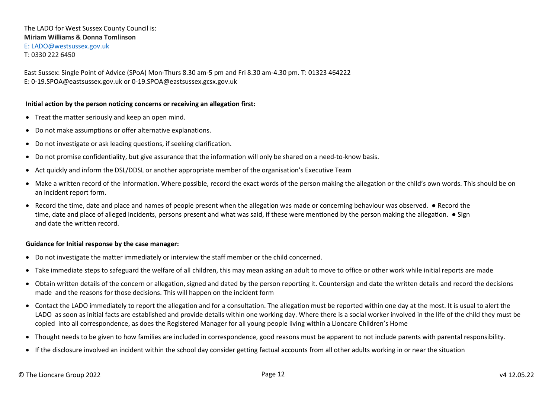East Sussex: Single Point of Advice (SPoA) Mon-Thurs 8.30 am-5 pm and Fri 8.30 am-4.30 pm. T: 01323 464222 E: 0-19.SPOA@eastsussex.gov.uk or 0-19.SPOA@eastsussex.gcsx.gov.uk

#### **Initial action by the person noticing concerns or receiving an allegation first:**

- Treat the matter seriously and keep an open mind.
- Do not make assumptions or offer alternative explanations.
- Do not investigate or ask leading questions, if seeking clarification.
- Do not promise confidentiality, but give assurance that the information will only be shared on a need-to-know basis.
- Act quickly and inform the DSL/DDSL or another appropriate member of the organisation's Executive Team
- Make a written record of the information. Where possible, record the exact words of the person making the allegation or the child's own words. This should be on an incident report form.
- Record the time, date and place and names of people present when the allegation was made or concerning behaviour was observed. Record the time, date and place of alleged incidents, persons present and what was said, if these were mentioned by the person making the allegation. ● Sign and date the written record.

#### **Guidance for Initial response by the case manager:**

- Do not investigate the matter immediately or interview the staff member or the child concerned.
- Take immediate steps to safeguard the welfare of all children, this may mean asking an adult to move to office or other work while initial reports are made
- Obtain written details of the concern or allegation, signed and dated by the person reporting it. Countersign and date the written details and record the decisions made and the reasons for those decisions. This will happen on the incident form
- Contact the LADO immediately to report the allegation and for a consultation. The allegation must be reported within one day at the most. It is usual to alert the LADO as soon as initial facts are established and provide details within one working day. Where there is a social worker involved in the life of the child they must be copied into all correspondence, as does the Registered Manager for all young people living within a Lioncare Children's Home
- Thought needs to be given to how families are included in correspondence, good reasons must be apparent to not include parents with parental responsibility.
- If the disclosure involved an incident within the school day consider getting factual accounts from all other adults working in or near the situation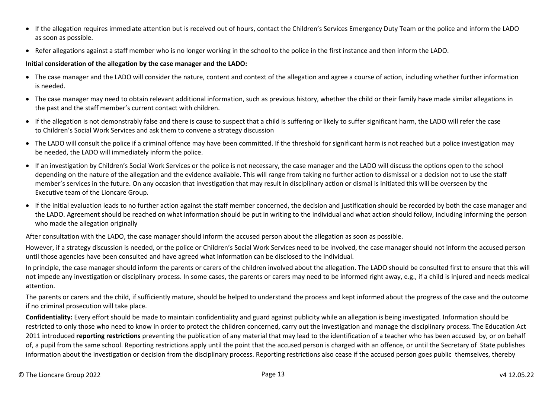- If the allegation requires immediate attention but is received out of hours, contact the Children's Services Emergency Duty Team or the police and inform the LADO as soon as possible.
- Refer allegations against a staff member who is no longer working in the school to the police in the first instance and then inform the LADO.

## **Initial consideration of the allegation by the case manager and the LADO:**

- The case manager and the LADO will consider the nature, content and context of the allegation and agree a course of action, including whether further information is needed.
- The case manager may need to obtain relevant additional information, such as previous history, whether the child or their family have made similar allegations in the past and the staff member's current contact with children.
- If the allegation is not demonstrably false and there is cause to suspect that a child is suffering or likely to suffer significant harm, the LADO will refer the case to Children's Social Work Services and ask them to convene a strategy discussion
- The LADO will consult the police if a criminal offence may have been committed. If the threshold for significant harm is not reached but a police investigation may be needed, the LADO will immediately inform the police.
- If an investigation by Children's Social Work Services or the police is not necessary, the case manager and the LADO will discuss the options open to the school depending on the nature of the allegation and the evidence available. This will range from taking no further action to dismissal or a decision not to use the staff member's services in the future. On any occasion that investigation that may result in disciplinary action or dismal is initiated this will be overseen by the Executive team of the Lioncare Group.
- If the initial evaluation leads to no further action against the staff member concerned, the decision and justification should be recorded by both the case manager and the LADO. Agreement should be reached on what information should be put in writing to the individual and what action should follow, including informing the person who made the allegation originally

After consultation with the LADO, the case manager should inform the accused person about the allegation as soon as possible.

However, if a strategy discussion is needed, or the police or Children's Social Work Services need to be involved, the case manager should not inform the accused person until those agencies have been consulted and have agreed what information can be disclosed to the individual.

In principle, the case manager should inform the parents or carers of the children involved about the allegation. The LADO should be consulted first to ensure that this will not impede any investigation or disciplinary process. In some cases, the parents or carers may need to be informed right away, e.g., if a child is injured and needs medical attention.

The parents or carers and the child, if sufficiently mature, should be helped to understand the process and kept informed about the progress of the case and the outcome if no criminal prosecution will take place.

**Confidentiality:** Every effort should be made to maintain confidentiality and guard against publicity while an allegation is being investigated. Information should be restricted to only those who need to know in order to protect the children concerned, carry out the investigation and manage the disciplinary process. The Education Act 2011 introduced **reporting restrictions** preventing the publication of any material that may lead to the identification of a teacher who has been accused by, or on behalf of, a pupil from the same school. Reporting restrictions apply until the point that the accused person is charged with an offence, or until the Secretary of State publishes information about the investigation or decision from the disciplinary process. Reporting restrictions also cease if the accused person goes public themselves, thereby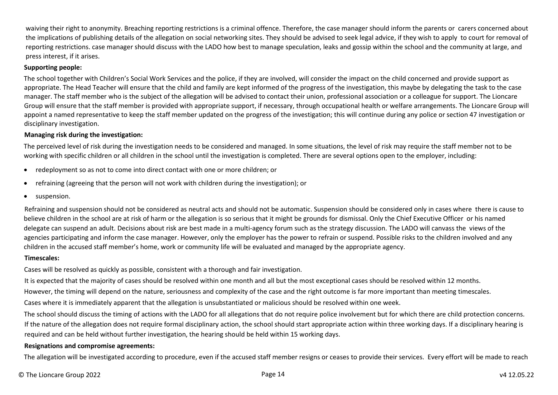waiving their right to anonymity. Breaching reporting restrictions is a criminal offence. Therefore, the case manager should inform the parents or carers concerned about the implications of publishing details of the allegation on social networking sites. They should be advised to seek legal advice, if they wish to apply to court for removal of reporting restrictions. case manager should discuss with the LADO how best to manage speculation, leaks and gossip within the school and the community at large, and press interest, if it arises.

#### **Supporting people:**

The school together with Children's Social Work Services and the police, if they are involved, will consider the impact on the child concerned and provide support as appropriate. The Head Teacher will ensure that the child and family are kept informed of the progress of the investigation, this maybe by delegating the task to the case manager. The staff member who is the subject of the allegation will be advised to contact their union, professional association or a colleague for support. The Lioncare Group will ensure that the staff member is provided with appropriate support, if necessary, through occupational health or welfare arrangements. The Lioncare Group will appoint a named representative to keep the staff member updated on the progress of the investigation; this will continue during any police or section 47 investigation or disciplinary investigation.

#### **Managing risk during the investigation:**

The perceived level of risk during the investigation needs to be considered and managed. In some situations, the level of risk may require the staff member not to be working with specific children or all children in the school until the investigation is completed. There are several options open to the employer, including:

- redeployment so as not to come into direct contact with one or more children; or
- refraining (agreeing that the person will not work with children during the investigation); or
- **•** suspension.

Refraining and suspension should not be considered as neutral acts and should not be automatic. Suspension should be considered only in cases where there is cause to believe children in the school are at risk of harm or the allegation is so serious that it might be grounds for dismissal. Only the Chief Executive Officer or his named delegate can suspend an adult. Decisions about risk are best made in a multi-agency forum such as the strategy discussion. The LADO will canvass the views of the agencies participating and inform the case manager. However, only the employer has the power to refrain or suspend. Possible risks to the children involved and any children in the accused staff member's home, work or community life will be evaluated and managed by the appropriate agency.

#### **Timescales:**

Cases will be resolved as quickly as possible, consistent with a thorough and fair investigation.

It is expected that the majority of cases should be resolved within one month and all but the most exceptional cases should be resolved within 12 months.

However, the timing will depend on the nature, seriousness and complexity of the case and the right outcome is far more important than meeting timescales.

Cases where it is immediately apparent that the allegation is unsubstantiated or malicious should be resolved within one week.

The school should discuss the timing of actions with the LADO for all allegations that do not require police involvement but for which there are child protection concerns. If the nature of the allegation does not require formal disciplinary action, the school should start appropriate action within three working days. If a disciplinary hearing is required and can be held without further investigation, the hearing should be held within 15 working days.

#### **Resignations and compromise agreements:**

The allegation will be investigated according to procedure, even if the accused staff member resigns or ceases to provide their services. Every effort will be made to reach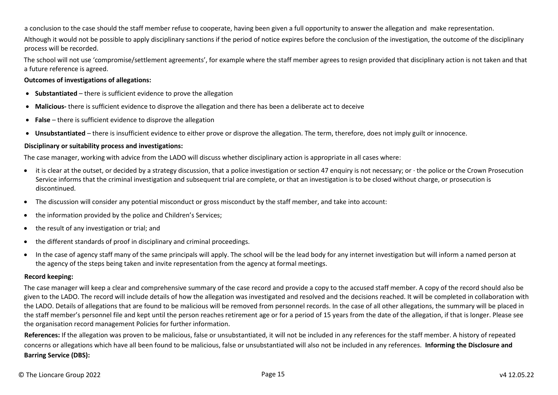a conclusion to the case should the staff member refuse to cooperate, having been given a full opportunity to answer the allegation and make representation.

Although it would not be possible to apply disciplinary sanctions if the period of notice expires before the conclusion of the investigation, the outcome of the disciplinary process will be recorded.

The school will not use 'compromise/settlement agreements', for example where the staff member agrees to resign provided that disciplinary action is not taken and that a future reference is agreed.

#### **Outcomes of investigations of allegations:**

- **Substantiated**  there is sufficient evidence to prove the allegation
- **Malicious-** there is sufficient evidence to disprove the allegation and there has been a deliberate act to deceive
- **False**  there is sufficient evidence to disprove the allegation
- **Unsubstantiated**  there is insufficient evidence to either prove or disprove the allegation. The term, therefore, does not imply guilt or innocence.

#### **Disciplinary or suitability process and investigations:**

The case manager, working with advice from the LADO will discuss whether disciplinary action is appropriate in all cases where:

- it is clear at the outset, or decided by a strategy discussion, that a police investigation or section 47 enquiry is not necessary; or ∙ the police or the Crown Prosecution Service informs that the criminal investigation and subsequent trial are complete, or that an investigation is to be closed without charge, or prosecution is discontinued.
- The discussion will consider any potential misconduct or gross misconduct by the staff member, and take into account:
- the information provided by the police and Children's Services:
- the result of any investigation or trial; and
- the different standards of proof in disciplinary and criminal proceedings.
- In the case of agency staff many of the same principals will apply. The school will be the lead body for any internet investigation but will inform a named person at the agency of the steps being taken and invite representation from the agency at formal meetings.

#### **Record keeping:**

The case manager will keep a clear and comprehensive summary of the case record and provide a copy to the accused staff member. A copy of the record should also be given to the LADO. The record will include details of how the allegation was investigated and resolved and the decisions reached. It will be completed in collaboration with the LADO. Details of allegations that are found to be malicious will be removed from personnel records. In the case of all other allegations, the summary will be placed in the staff member's personnel file and kept until the person reaches retirement age or for a period of 15 years from the date of the allegation, if that is longer. Please see the organisation record management Policies for further information.

**References:** If the allegation was proven to be malicious, false or unsubstantiated, it will not be included in any references for the staff member. A history of repeated concerns or allegations which have all been found to be malicious, false or unsubstantiated will also not be included in any references. **Informing the Disclosure and Barring Service (DBS):**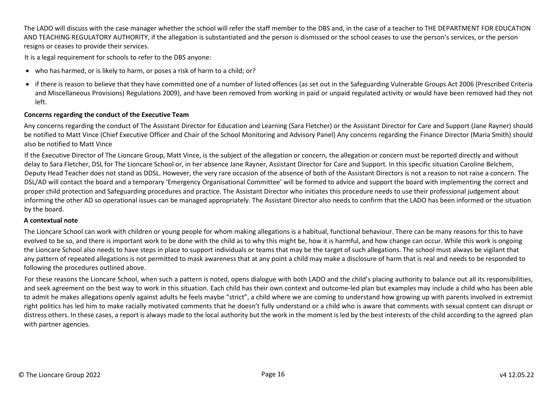The LADO will discuss with the case manager whether the school will refer the staff member to the DBS and, in the case of a teacher to THE DEPARTMENT FOR EDUCATION AND TEACHING REGULATORY AUTHORITY, if the allegation is substantiated and the person is dismissed or the school ceases to use the person's services, or the person resigns or ceases to provide their services.

It is a legal requirement for schools to refer to the DBS anyone:

- who has harmed, or is likely to harm, or poses a risk of harm to a child; or?
- if there is reason to believe that they have committed one of a number of listed offences (as set out in the Safeguarding Vulnerable Groups Act 2006 (Prescribed Criteria and Miscellaneous Provisions) Regulations 2009), and have been removed from working in paid or unpaid regulated activity or would have been removed had they not left.

### **Concerns regarding the conduct of the Executive Team**

Any concerns regarding the conduct of The Assistant Director for Education and Learning (Sara Fletcher) or the Assistant Director for Care and Support (Jane Rayner) should be notified to Matt Vince (Chief Executive Officer and Chair of the School Monitoring and Advisory Panel) Any concerns regarding the Finance Director (Maria Smith) should also be notified to Matt Vince

If the Executive Director of The Lioncare Group, Matt Vince, is the subject of the allegation or concern, the allegation or concern must be reported directly and without delay to Sara Fletcher, DSL for The Lioncare School or, in her absence Jane Rayner, Assistant Director for Care and Support. In this specific situation Caroline Belchem, Deputy Head Teacher does not stand as DDSL. However, the very rare occasion of the absence of both of the Assistant Directors is not a reason to not raise a concern. The DSL/AD will contact the board and a temporary 'Emergency Organisational Committee' will be formed to advice and support the board with implementing the correct and proper child protection and Safeguarding procedures and practice. The Assistant Director who initiates this procedure needs to use their professional judgement about informing the other AD so operational issues can be managed appropriately. The Assistant Director also needs to confirm that the LADO has been informed or the situation by the board.

#### **A contextual note**

The Lioncare School can work with children or young people for whom making allegations is a habitual, functional behaviour. There can be many reasons for this to have evolved to be so, and there is important work to be done with the child as to why this might be, how it is harmful, and how change can occur. While this work is ongoing the Lioncare School also needs to have steps in place to support individuals or teams that may be the target of such allegations. The school must always be vigilant that any pattern of repeated allegations is not permitted to mask awareness that at any point a child may make a disclosure of harm that is real and needs to be responded to following the procedures outlined above.

For these reasons the Lioncare School, when such a pattern is noted, opens dialogue with both LADO and the child's placing authority to balance out all its responsibilities, and seek agreement on the best way to work in this situation. Each child has their own context and outcome-led plan but examples may include a child who has been able to admit he makes allegations openly against adults he feels maybe "strict", a child where we are coming to understand how growing up with parents involved in extremist right politics has led him to make racially motivated comments that he doesn't fully understand or a child who is aware that comments with sexual content can disrupt or distress others. In these cases, a report is always made to the local authority but the work in the moment is led by the best interests of the child according to the agreed plan with partner agencies.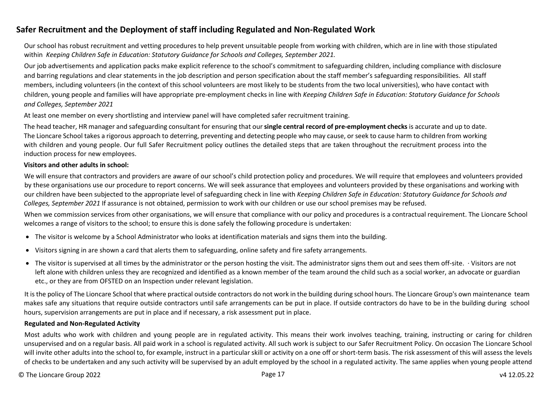# <span id="page-16-0"></span>**Safer Recruitment and the Deployment of staff including Regulated and Non-Regulated Work**

Our school has robust recruitment and vetting procedures to help prevent unsuitable people from working with children, which are in line with those stipulated within *Keeping Children Safe in Education: Statutory Guidance for Schools and Colleges, September 2021.* 

Our job advertisements and application packs make explicit reference to the school's commitment to safeguarding children, including compliance with disclosure and barring regulations and clear statements in the job description and person specification about the staff member's safeguarding responsibilities. All staff members, including volunteers (in the context of this school volunteers are most likely to be students from the two local universities), who have contact with children, young people and families will have appropriate pre-employment checks in line with *Keeping Children Safe in Education: Statutory Guidance for Schools and Colleges, September 2021* 

At least one member on every shortlisting and interview panel will have completed safer recruitment training.

The head teacher, HR manager and safeguarding consultant for ensuring that our **single central record of pre-employment checks** is accurate and up to date. The Lioncare School takes a rigorous approach to deterring, preventing and detecting people who may cause, or seek to cause harm to children from working with children and young people. Our full Safer Recruitment policy outlines the detailed steps that are taken throughout the recruitment process into the induction process for new employees.

#### **Visitors and other adults in school:**

We will ensure that contractors and providers are aware of our school's child protection policy and procedures. We will require that employees and volunteers provided by these organisations use our procedure to report concerns. We will seek assurance that employees and volunteers provided by these organisations and working with our children have been subjected to the appropriate level of safeguarding check in line with *Keeping Children Safe in Education: Statutory Guidance for Schools and Colleges, September 2021* If assurance is not obtained, permission to work with our children or use our school premises may be refused.

When we commission services from other organisations, we will ensure that compliance with our policy and procedures is a contractual requirement. The Lioncare School welcomes a range of visitors to the school; to ensure this is done safely the following procedure is undertaken:

- The visitor is welcome by a School Administrator who looks at identification materials and signs them into the building.
- Visitors signing in are shown a card that alerts them to safeguarding, online safety and fire safety arrangements.
- The visitor is supervised at all times by the administrator or the person hosting the visit. The administrator signs them out and sees them off-site. ∙ Visitors are not left alone with children unless they are recognized and identified as a known member of the team around the child such as a social worker, an advocate or guardian etc., or they are from OFSTED on an Inspection under relevant legislation.

It is the policy of The Lioncare School that where practical outside contractors do not work in the building during school hours. The Lioncare Group's own maintenance team makes safe any situations that require outside contractors until safe arrangements can be put in place. If outside contractors do have to be in the building during school hours, supervision arrangements are put in place and if necessary, a risk assessment put in place.

#### **Regulated and Non-Regulated Activity**

Most adults who work with children and young people are in regulated activity. This means their work involves teaching, training, instructing or caring for children unsupervised and on a regular basis. All paid work in a school is regulated activity. All such work is subject to our Safer Recruitment Policy. On occasion The Lioncare School will invite other adults into the school to, for example, instruct in a particular skill or activity on a one off or short-term basis. The risk assessment of this will assess the levels of checks to be undertaken and any such activity will be supervised by an adult employed by the school in a regulated activity. The same applies when young people attend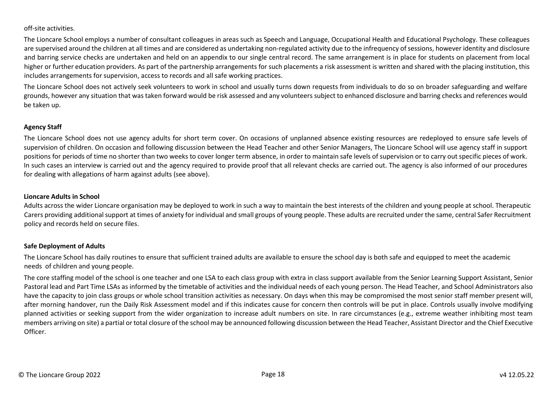off-site activities.

The Lioncare School employs a number of consultant colleagues in areas such as Speech and Language, Occupational Health and Educational Psychology. These colleagues are supervised around the children at all times and are considered as undertaking non-regulated activity due to the infrequency of sessions, however identity and disclosure and barring service checks are undertaken and held on an appendix to our single central record. The same arrangement is in place for students on placement from local higher or further education providers. As part of the partnership arrangements for such placements a risk assessment is written and shared with the placing institution, this includes arrangements for supervision, access to records and all safe working practices.

The Lioncare School does not actively seek volunteers to work in school and usually turns down requests from individuals to do so on broader safeguarding and welfare grounds, however any situation that was taken forward would be risk assessed and any volunteers subject to enhanced disclosure and barring checks and references would be taken up.

### **Agency Staff**

The Lioncare School does not use agency adults for short term cover. On occasions of unplanned absence existing resources are redeployed to ensure safe levels of supervision of children. On occasion and following discussion between the Head Teacher and other Senior Managers, The Lioncare School will use agency staff in support positions for periods of time no shorter than two weeks to cover longer term absence, in order to maintain safe levels of supervision or to carry out specific pieces of work. In such cases an interview is carried out and the agency required to provide proof that all relevant checks are carried out. The agency is also informed of our procedures for dealing with allegations of harm against adults (see above).

#### **Lioncare Adults in School**

Adults across the wider Lioncare organisation may be deployed to work in such a way to maintain the best interests of the children and young people at school. Therapeutic Carers providing additional support at times of anxiety for individual and small groups of young people. These adults are recruited under the same, central Safer Recruitment policy and records held on secure files.

### **Safe Deployment of Adults**

The Lioncare School has daily routines to ensure that sufficient trained adults are available to ensure the school day is both safe and equipped to meet the academic needs of children and young people.

The core staffing model of the school is one teacher and one LSA to each class group with extra in class support available from the Senior Learning Support Assistant, Senior Pastoral lead and Part Time LSAs as informed by the timetable of activities and the individual needs of each young person. The Head Teacher, and School Administrators also have the capacity to join class groups or whole school transition activities as necessary. On days when this may be compromised the most senior staff member present will, after morning handover, run the Daily Risk Assessment model and if this indicates cause for concern then controls will be put in place. Controls usually involve modifying planned activities or seeking support from the wider organization to increase adult numbers on site. In rare circumstances (e.g., extreme weather inhibiting most team members arriving on site) a partial or total closure of the school may be announced following discussion between the Head Teacher, Assistant Director and the Chief Executive Officer.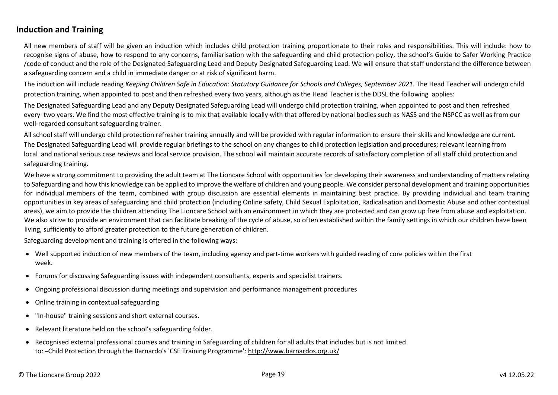# <span id="page-18-0"></span>**Induction and Training**

All new members of staff will be given an induction which includes child protection training proportionate to their roles and responsibilities. This will include: how to recognise signs of abuse, how to respond to any concerns, familiarisation with the safeguarding and child protection policy, the school's Guide to Safer Working Practice /code of conduct and the role of the Designated Safeguarding Lead and Deputy Designated Safeguarding Lead. We will ensure that staff understand the difference between a safeguarding concern and a child in immediate danger or at risk of significant harm.

The induction will include reading *Keeping Children Safe in Education: Statutory Guidance for Schools and Colleges, September 2021*. The Head Teacher will undergo child protection training, when appointed to post and then refreshed every two years, although as the Head Teacher is the DDSL the following applies:

The Designated Safeguarding Lead and any Deputy Designated Safeguarding Lead will undergo child protection training, when appointed to post and then refreshed every two years. We find the most effective training is to mix that available locally with that offered by national bodies such as NASS and the NSPCC as well as from our well-regarded consultant safeguarding trainer.

All school staff will undergo child protection refresher training annually and will be provided with regular information to ensure their skills and knowledge are current. The Designated Safeguarding Lead will provide regular briefings to the school on any changes to child protection legislation and procedures; relevant learning from local and national serious case reviews and local service provision. The school will maintain accurate records of satisfactory completion of all staff child protection and safeguarding training.

We have a strong commitment to providing the adult team at The Lioncare School with opportunities for developing their awareness and understanding of matters relating to Safeguarding and how this knowledge can be applied to improve the welfare of children and young people. We consider personal development and training opportunities for individual members of the team, combined with group discussion are essential elements in maintaining best practice. By providing individual and team training opportunities in key areas of safeguarding and child protection (including Online safety, Child Sexual Exploitation, Radicalisation and Domestic Abuse and other contextual areas), we aim to provide the children attending The Lioncare School with an environment in which they are protected and can grow up free from abuse and exploitation. We also strive to provide an environment that can facilitate breaking of the cycle of abuse, so often established within the family settings in which our children have been living, sufficiently to afford greater protection to the future generation of children.

Safeguarding development and training is offered in the following ways:

- Well supported induction of new members of the team, including agency and part-time workers with guided reading of core policies within the first week.
- Forums for discussing Safeguarding issues with independent consultants, experts and specialist trainers.
- Ongoing professional discussion during meetings and supervision and performance management procedures
- Online training in contextual safeguarding
- "In-house" training sessions and short external courses.
- Relevant literature held on the school's safeguarding folder.
- Recognised external professional courses and training in Safeguarding of children for all adults that includes but is not limited to: ̶ Child Protection through the Barnardo's 'CSE Training Programme': http://www.barnardos.org.uk/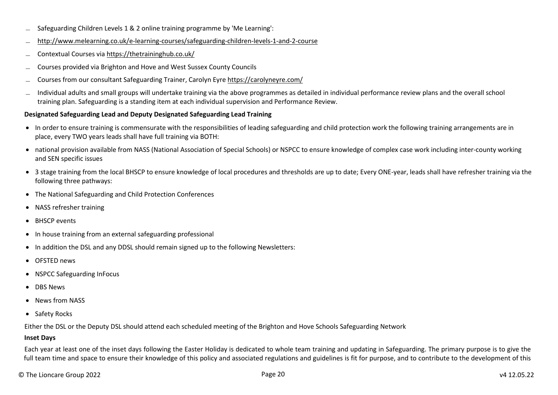- $\sim$  Safeguarding Children Levels 1 & 2 online training programme by 'Me Learning':
- ̶ http://www.melearning.co.uk/e-learning-courses/safeguarding-children-levels-1-and-2-course
- ̶ Contextual Courses via https://thetraininghub.co.uk/
- ̶ Courses provided via Brighton and Hove and West Sussex County Councils
- ̶ Courses from our consultant Safeguarding Trainer, Carolyn Eyre https://carolyneyre.com/
- ̶ Individual adults and small groups will undertake training via the above programmes as detailed in individual performance review plans and the overall school training plan. Safeguarding is a standing item at each individual supervision and Performance Review.

### **Designated Safeguarding Lead and Deputy Designated Safeguarding Lead Training**

- In order to ensure training is commensurate with the responsibilities of leading safeguarding and child protection work the following training arrangements are in place, every TWO years leads shall have full training via BOTH:
- national provision available from NASS (National Association of Special Schools) or NSPCC to ensure knowledge of complex case work including inter-county working and SEN specific issues
- 3 stage training from the local BHSCP to ensure knowledge of local procedures and thresholds are up to date; Every ONE-year, leads shall have refresher training via the following three pathways:
- The National Safeguarding and Child Protection Conferences
- NASS refresher training
- BHSCP events
- In house training from an external safeguarding professional
- In addition the DSL and any DDSL should remain signed up to the following Newsletters:
- OFSTED news
- NSPCC Safeguarding InFocus
- **•** DBS News
- News from NASS
- Safety Rocks

Either the DSL or the Deputy DSL should attend each scheduled meeting of the Brighton and Hove Schools Safeguarding Network

#### **Inset Days**

Each year at least one of the inset days following the Easter Holiday is dedicated to whole team training and updating in Safeguarding. The primary purpose is to give the full team time and space to ensure their knowledge of this policy and associated regulations and guidelines is fit for purpose, and to contribute to the development of this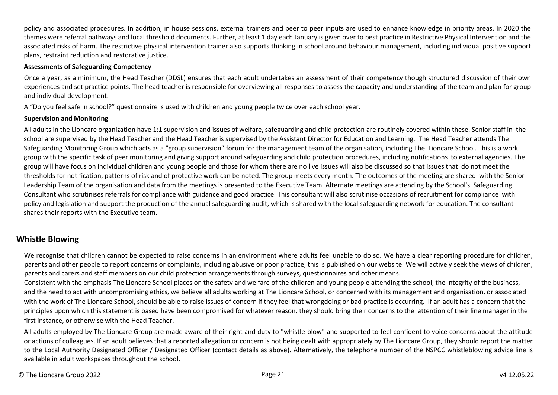policy and associated procedures. In addition, in house sessions, external trainers and peer to peer inputs are used to enhance knowledge in priority areas. In 2020 the themes were referral pathways and local threshold documents. Further, at least 1 day each January is given over to best practice in Restrictive Physical Intervention and the associated risks of harm. The restrictive physical intervention trainer also supports thinking in school around behaviour management, including individual positive support plans, restraint reduction and restorative justice.

#### **Assessments of Safeguarding Competency**

Once a year, as a minimum, the Head Teacher (DDSL) ensures that each adult undertakes an assessment of their competency though structured discussion of their own experiences and set practice points. The head teacher is responsible for overviewing all responses to assess the capacity and understanding of the team and plan for group and individual development.

A "Do you feel safe in school?" questionnaire is used with children and young people twice over each school year.

#### **Supervision and Monitoring**

All adults in the Lioncare organization have 1:1 supervision and issues of welfare, safeguarding and child protection are routinely covered within these. Senior staff in the school are supervised by the Head Teacher and the Head Teacher is supervised by the Assistant Director for Education and Learning. The Head Teacher attends The Safeguarding Monitoring Group which acts as a "group supervision" forum for the management team of the organisation, including The Lioncare School. This is a work group with the specific task of peer monitoring and giving support around safeguarding and child protection procedures, including notifications to external agencies. The group will have focus on individual children and young people and those for whom there are no live issues will also be discussed so that issues that do not meet the thresholds for notification, patterns of risk and of protective work can be noted. The group meets every month. The outcomes of the meeting are shared with the Senior Leadership Team of the organisation and data from the meetings is presented to the Executive Team. Alternate meetings are attending by the School's Safeguarding Consultant who scrutinises referrals for compliance with guidance and good practice. This consultant will also scrutinise occasions of recruitment for compliance with policy and legislation and support the production of the annual safeguarding audit, which is shared with the local safeguarding network for education. The consultant shares their reports with the Executive team.

# <span id="page-20-0"></span>**Whistle Blowing**

We recognise that children cannot be expected to raise concerns in an environment where adults feel unable to do so. We have a clear reporting procedure for children, parents and other people to report concerns or complaints, including abusive or poor practice, this is published on our website. We will actively seek the views of children, parents and carers and staff members on our child protection arrangements through surveys, questionnaires and other means.

Consistent with the emphasis The Lioncare School places on the safety and welfare of the children and young people attending the school, the integrity of the business, and the need to act with uncompromising ethics, we believe all adults working at The Lioncare School, or concerned with its management and organisation, or associated with the work of The Lioncare School, should be able to raise issues of concern if they feel that wrongdoing or bad practice is occurring. If an adult has a concern that the principles upon which this statement is based have been compromised for whatever reason, they should bring their concerns to the attention of their line manager in the first instance, or otherwise with the Head Teacher.

All adults employed by The Lioncare Group are made aware of their right and duty to "whistle-blow" and supported to feel confident to voice concerns about the attitude or actions of colleagues. If an adult believes that a reported allegation or concern is not being dealt with appropriately by The Lioncare Group, they should report the matter to the Local Authority Designated Officer / Designated Officer (contact details as above). Alternatively, the telephone number of the NSPCC whistleblowing advice line is available in adult workspaces throughout the school.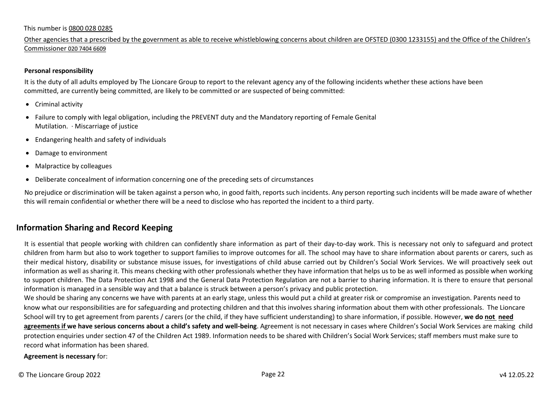#### This number is 0800 028 0285

Other agencies that a prescribed by the government as able to receive whistleblowing concerns about children are OFSTED (0300 1233155) and the Office of the Children's Commissioner 020 7404 6609

#### **Personal responsibility**

It is the duty of all adults employed by The Lioncare Group to report to the relevant agency any of the following incidents whether these actions have been committed, are currently being committed, are likely to be committed or are suspected of being committed:

- Criminal activity
- Failure to comply with legal obligation, including the PREVENT duty and the Mandatory reporting of Female Genital Mutilation. ∙ Miscarriage of justice
- Endangering health and safety of individuals
- Damage to environment
- Malpractice by colleagues
- Deliberate concealment of information concerning one of the preceding sets of circumstances

No prejudice or discrimination will be taken against a person who, in good faith, reports such incidents. Any person reporting such incidents will be made aware of whether this will remain confidential or whether there will be a need to disclose who has reported the incident to a third party.

# <span id="page-21-0"></span>**Information Sharing and Record Keeping**

It is essential that people working with children can confidently share information as part of their day-to-day work. This is necessary not only to safeguard and protect children from harm but also to work together to support families to improve outcomes for all. The school may have to share information about parents or carers, such as their medical history, disability or substance misuse issues, for investigations of child abuse carried out by Children's Social Work Services. We will proactively seek out information as well as sharing it. This means checking with other professionals whether they have information that helps us to be as well informed as possible when working to support children. The Data Protection Act 1998 and the General Data Protection Regulation are not a barrier to sharing information. It is there to ensure that personal information is managed in a sensible way and that a balance is struck between a person's privacy and public protection.

We should be sharing any concerns we have with parents at an early stage, unless this would put a child at greater risk or compromise an investigation. Parents need to know what our responsibilities are for safeguarding and protecting children and that this involves sharing information about them with other professionals. The Lioncare School will try to get agreement from parents / carers (or the child, if they have sufficient understanding) to share information, if possible. However, **we do not need agreements if we have serious concerns about a child's safety and well-being**. Agreement is not necessary in cases where Children's Social Work Services are making child protection enquiries under section 47 of the Children Act 1989. Information needs to be shared with Children's Social Work Services; staff members must make sure to record what information has been shared.

**Agreement is necessary** for: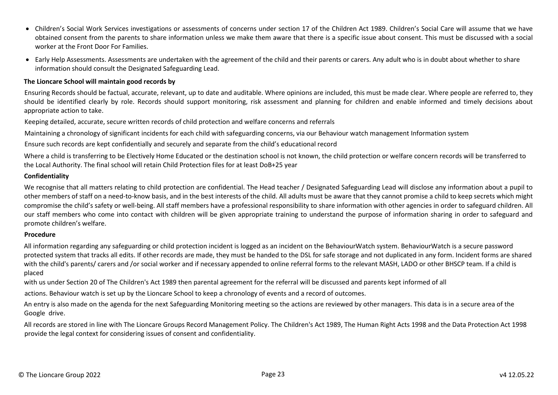- Children's Social Work Services investigations or assessments of concerns under section 17 of the Children Act 1989. Children's Social Care will assume that we have obtained consent from the parents to share information unless we make them aware that there is a specific issue about consent. This must be discussed with a social worker at the Front Door For Families.
- Early Help Assessments. Assessments are undertaken with the agreement of the child and their parents or carers. Any adult who is in doubt about whether to share information should consult the Designated Safeguarding Lead.

#### **The Lioncare School will maintain good records by**

Ensuring Records should be factual, accurate, relevant, up to date and auditable. Where opinions are included, this must be made clear. Where people are referred to, they should be identified clearly by role. Records should support monitoring, risk assessment and planning for children and enable informed and timely decisions about appropriate action to take.

Keeping detailed, accurate, secure written records of child protection and welfare concerns and referrals

Maintaining a chronology of significant incidents for each child with safeguarding concerns, via our Behaviour watch management Information system

Ensure such records are kept confidentially and securely and separate from the child's educational record

Where a child is transferring to be Electively Home Educated or the destination school is not known, the child protection or welfare concern records will be transferred to the Local Authority. The final school will retain Child Protection files for at least DoB+25 year

#### **Confidentiality**

We recognise that all matters relating to child protection are confidential. The Head teacher / Designated Safeguarding Lead will disclose any information about a pupil to other members of staff on a need-to-know basis, and in the best interests of the child. All adults must be aware that they cannot promise a child to keep secrets which might compromise the child's safety or well-being. All staff members have a professional responsibility to share information with other agencies in order to safeguard children. All our staff members who come into contact with children will be given appropriate training to understand the purpose of information sharing in order to safeguard and promote children's welfare.

#### **Procedure**

All information regarding any safeguarding or child protection incident is logged as an incident on the BehaviourWatch system. BehaviourWatch is a secure password protected system that tracks all edits. If other records are made, they must be handed to the DSL for safe storage and not duplicated in any form. Incident forms are shared with the child's parents/ carers and /or social worker and if necessary appended to online referral forms to the relevant MASH, LADO or other BHSCP team. If a child is placed

with us under Section 20 of The Children's Act 1989 then parental agreement for the referral will be discussed and parents kept informed of all

actions. Behaviour watch is set up by the Lioncare School to keep a chronology of events and a record of outcomes.

An entry is also made on the agenda for the next Safeguarding Monitoring meeting so the actions are reviewed by other managers. This data is in a secure area of the Google drive.

All records are stored in line with The Lioncare Groups Record Management Policy. The Children's Act 1989, The Human Right Acts 1998 and the Data Protection Act 1998 provide the legal context for considering issues of consent and confidentiality.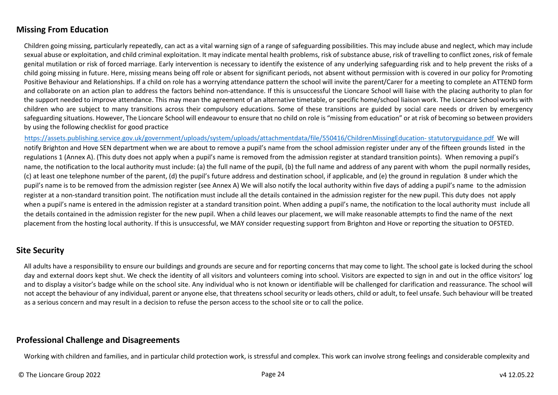# <span id="page-23-0"></span>**Missing From Education**

Children going missing, particularly repeatedly, can act as a vital warning sign of a range of safeguarding possibilities. This may include abuse and neglect, which may include sexual abuse or exploitation, and child criminal exploitation. It may indicate mental health problems, risk of substance abuse, risk of travelling to conflict zones, risk of female genital mutilation or risk of forced marriage. Early intervention is necessary to identify the existence of any underlying safeguarding risk and to help prevent the risks of a child going missing in future. Here, missing means being off role or absent for significant periods, not absent without permission with is covered in our policy for Promoting Positive Behaviour and Relationships. If a child on role has a worrying attendance pattern the school will invite the parent/Carer for a meeting to complete an ATTEND form and collaborate on an action plan to address the factors behind non-attendance. If this is unsuccessful the Lioncare School will liaise with the placing authority to plan for the support needed to improve attendance. This may mean the agreement of an alternative timetable, or specific home/school liaison work. The Lioncare School works with children who are subject to many transitions across their compulsory educations. Some of these transitions are guided by social care needs or driven by emergency safeguarding situations. However, The Lioncare School will endeavour to ensure that no child on role is "missing from education" or at risk of becoming so between providers by using the following checklist for good practice

https://assets.publishing.service.gov.uk/government/uploads/system/uploads/attachmentdata/file/550416/ChildrenMissingEducation- statutoryguidance.pdf We will notify Brighton and Hove SEN department when we are about to remove a pupil's name from the school admission register under any of the fifteen grounds listed in the regulations 1 (Annex A). (This duty does not apply when a pupil's name is removed from the admission register at standard transition points). When removing a pupil's name, the notification to the local authority must include: (a) the full name of the pupil, (b) the full name and address of any parent with whom the pupil normally resides, (c) at least one telephone number of the parent, (d) the pupil's future address and destination school, if applicable, and (e) the ground in regulation 8 under which the pupil's name is to be removed from the admission register (see Annex A) We will also notify the local authority within five days of adding a pupil's name to the admission register at a non-standard transition point. The notification must include all the details contained in the admission register for the new pupil. This duty does not apply when a pupil's name is entered in the admission register at a standard transition point. When adding a pupil's name, the notification to the local authority must include all the details contained in the admission register for the new pupil. When a child leaves our placement, we will make reasonable attempts to find the name of the next placement from the hosting local authority. If this is unsuccessful, we MAY consider requesting support from Brighton and Hove or reporting the situation to OFSTED.

# <span id="page-23-1"></span>**Site Security**

All adults have a responsibility to ensure our buildings and grounds are secure and for reporting concerns that may come to light. The school gate is locked during the school day and external doors kept shut. We check the identity of all visitors and volunteers coming into school. Visitors are expected to sign in and out in the office visitors' log and to display a visitor's badge while on the school site. Any individual who is not known or identifiable will be challenged for clarification and reassurance. The school will not accept the behaviour of any individual, parent or anyone else, that threatens school security or leads others, child or adult, to feel unsafe. Such behaviour will be treated as a serious concern and may result in a decision to refuse the person access to the school site or to call the police.

# <span id="page-23-2"></span>**Professional Challenge and Disagreements**

Working with children and families, and in particular child protection work, is stressful and complex. This work can involve strong feelings and considerable complexity and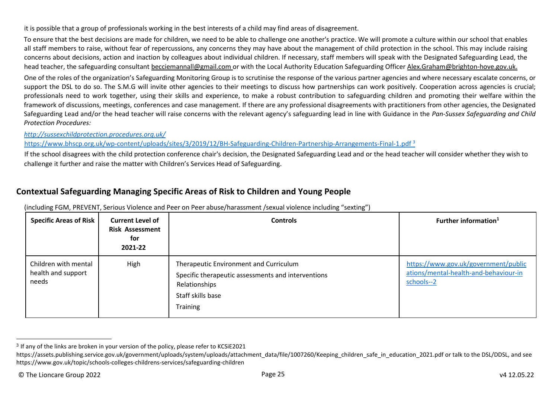it is possible that a group of professionals working in the best interests of a child may find areas of disagreement.

To ensure that the best decisions are made for children, we need to be able to challenge one another's practice. We will promote a culture within our school that enables all staff members to raise, without fear of repercussions, any concerns they may have about the management of child protection in the school. This may include raising concerns about decisions, action and inaction by colleagues about individual children. If necessary, staff members will speak with the Designated Safeguarding Lead, the head teacher, the safeguarding consultant becciemannall@gmail.com or with the Local Authority Education Safeguarding Officer Alex.Graham@brighton-hove.gov.uk.

One of the roles of the organization's Safeguarding Monitoring Group is to scrutinise the response of the various partner agencies and where necessary escalate concerns, or support the DSL to do so. The S.M.G will invite other agencies to their meetings to discuss how partnerships can work positively. Cooperation across agencies is crucial; professionals need to work together, using their skills and experience, to make a robust contribution to safeguarding children and promoting their welfare within the framework of discussions, meetings, conferences and case management. If there are any professional disagreements with practitioners from other agencies, the Designated Safeguarding Lead and/or the head teacher will raise concerns with the relevant agency's safeguarding lead in line with Guidance in the *Pan-Sussex Safeguarding and Child Protection Procedures:* 

*http://sussexchildprotection.procedures.org.uk/* 

https://www.bhscp.org.uk/wp-content/uploads/sites/3/2019/12/BH-Safeguarding-Children-Partnership-Arrangements-Final-1.pdf<sup>3</sup>

If the school disagrees with the child protection conference chair's decision, the Designated Safeguarding Lead and or the head teacher will consider whether they wish to challenge it further and raise the matter with Children's Services Head of Safeguarding.

# <span id="page-24-0"></span>**Contextual Safeguarding Managing Specific Areas of Risk to Children and Young People**

| <b>Specific Areas of Risk</b>                       | <b>Current Level of</b><br><b>Risk Assessment</b><br>for<br>2021-22 | <b>Controls</b>                                                                                                                                | Further information <sup>1</sup>                                                            |
|-----------------------------------------------------|---------------------------------------------------------------------|------------------------------------------------------------------------------------------------------------------------------------------------|---------------------------------------------------------------------------------------------|
| Children with mental<br>health and support<br>needs | High                                                                | Therapeutic Environment and Curriculum<br>Specific therapeutic assessments and interventions<br>Relationships<br>Staff skills base<br>Training | https://www.gov.uk/government/public<br>ations/mental-health-and-behaviour-in<br>schools--2 |

(including FGM, PREVENT, Serious Violence and Peer on Peer abuse/harassment /sexual violence including "sexting")

 $3$  If any of the links are broken in your version of the policy, please refer to KCSiE2021

https://assets.publishing.service.gov.uk/government/uploads/system/uploads/attachment\_data/file/1007260/Keeping\_children\_safe\_in\_education\_2021.pdf or talk to the DSL/DDSL, and see https://www.gov.uk/topic/schools-colleges-childrens-services/safeguarding-children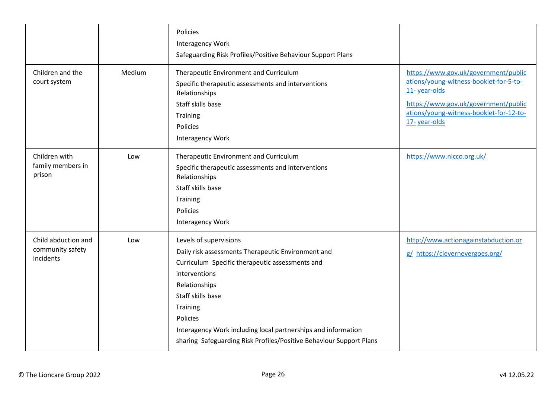| Children and the<br>court system                     | Medium | Policies<br>Interagency Work<br>Safeguarding Risk Profiles/Positive Behaviour Support Plans<br>Therapeutic Environment and Curriculum<br>Specific therapeutic assessments and interventions                                                                                                                                                            | https://www.gov.uk/government/public<br>ations/young-witness-booklet-for-5-to-                                  |
|------------------------------------------------------|--------|--------------------------------------------------------------------------------------------------------------------------------------------------------------------------------------------------------------------------------------------------------------------------------------------------------------------------------------------------------|-----------------------------------------------------------------------------------------------------------------|
|                                                      |        | Relationships<br>Staff skills base<br>Training<br>Policies<br>Interagency Work                                                                                                                                                                                                                                                                         | 11-year-olds<br>https://www.gov.uk/government/public<br>ations/young-witness-booklet-for-12-to-<br>17-year-olds |
| Children with<br>family members in<br>prison         | Low    | Therapeutic Environment and Curriculum<br>Specific therapeutic assessments and interventions<br>Relationships<br>Staff skills base<br>Training<br>Policies<br>Interagency Work                                                                                                                                                                         | https://www.nicco.org.uk/                                                                                       |
| Child abduction and<br>community safety<br>Incidents | Low    | Levels of supervisions<br>Daily risk assessments Therapeutic Environment and<br>Curriculum Specific therapeutic assessments and<br>interventions<br>Relationships<br>Staff skills base<br>Training<br>Policies<br>Interagency Work including local partnerships and information<br>sharing Safeguarding Risk Profiles/Positive Behaviour Support Plans | http://www.actionagainstabduction.or<br>g/ https://clevernevergoes.org/                                         |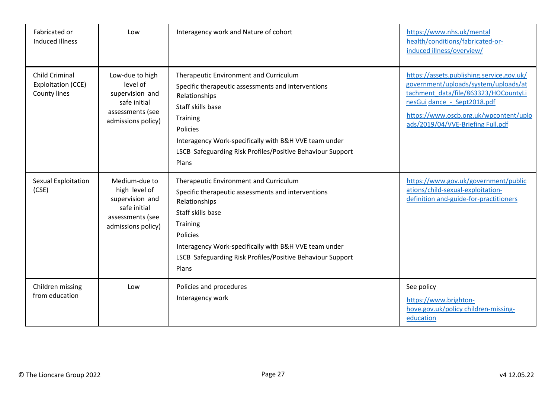| Fabricated or<br><b>Induced Illness</b>                     | Low                                                                                                         | Interagency work and Nature of cohort                                                                                                                                                                                                                                                      | https://www.nhs.uk/mental<br>health/conditions/fabricated-or-<br>induced illness/overview/                                                                                                                                              |
|-------------------------------------------------------------|-------------------------------------------------------------------------------------------------------------|--------------------------------------------------------------------------------------------------------------------------------------------------------------------------------------------------------------------------------------------------------------------------------------------|-----------------------------------------------------------------------------------------------------------------------------------------------------------------------------------------------------------------------------------------|
| <b>Child Criminal</b><br>Exploitation (CCE)<br>County lines | Low-due to high<br>level of<br>supervision and<br>safe initial<br>assessments (see<br>admissions policy)    | Therapeutic Environment and Curriculum<br>Specific therapeutic assessments and interventions<br>Relationships<br>Staff skills base<br>Training<br>Policies<br>Interagency Work-specifically with B&H VVE team under<br>LSCB Safeguarding Risk Profiles/Positive Behaviour Support<br>Plans | https://assets.publishing.service.gov.uk/<br>government/uploads/system/uploads/at<br>tachment_data/file/863323/HOCountyLi<br>nesGui dance - Sept2018.pdf<br>https://www.oscb.org.uk/wpcontent/uplo<br>ads/2019/04/VVE-Briefing Full.pdf |
| Sexual Exploitation<br>(CSE)                                | Medium-due to<br>high level of<br>supervision and<br>safe initial<br>assessments (see<br>admissions policy) | Therapeutic Environment and Curriculum<br>Specific therapeutic assessments and interventions<br>Relationships<br>Staff skills base<br>Training<br>Policies<br>Interagency Work-specifically with B&H VVE team under<br>LSCB Safeguarding Risk Profiles/Positive Behaviour Support<br>Plans | https://www.gov.uk/government/public<br>ations/child-sexual-exploitation-<br>definition and-guide-for-practitioners                                                                                                                     |
| Children missing<br>from education                          | Low                                                                                                         | Policies and procedures<br>Interagency work                                                                                                                                                                                                                                                | See policy<br>https://www.brighton-<br>hove.gov.uk/policy children-missing-<br>education                                                                                                                                                |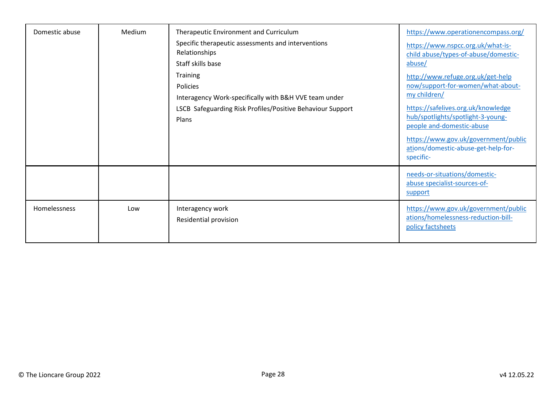| Domestic abuse | Medium | Therapeutic Environment and Curriculum<br>Specific therapeutic assessments and interventions<br>Relationships<br>Staff skills base<br>Training<br>Policies<br>Interagency Work-specifically with B&H VVE team under<br>LSCB Safeguarding Risk Profiles/Positive Behaviour Support<br>Plans | https://www.operationencompass.org/<br>https://www.nspcc.org.uk/what-is-<br>child abuse/types-of-abuse/domestic-<br>abuse/<br>http://www.refuge.org.uk/get-help<br>now/support-for-women/what-about-<br>my children/<br>https://safelives.org.uk/knowledge<br>hub/spotlights/spotlight-3-young-<br>people and-domestic-abuse<br>https://www.gov.uk/government/public<br>ations/domestic-abuse-get-help-for-<br>specific- |
|----------------|--------|--------------------------------------------------------------------------------------------------------------------------------------------------------------------------------------------------------------------------------------------------------------------------------------------|--------------------------------------------------------------------------------------------------------------------------------------------------------------------------------------------------------------------------------------------------------------------------------------------------------------------------------------------------------------------------------------------------------------------------|
|                |        |                                                                                                                                                                                                                                                                                            | needs-or-situations/domestic-<br>abuse specialist-sources-of-<br>support                                                                                                                                                                                                                                                                                                                                                 |
| Homelessness   | Low    | Interagency work<br>Residential provision                                                                                                                                                                                                                                                  | https://www.gov.uk/government/public<br>ations/homelessness-reduction-bill-<br>policy factsheets                                                                                                                                                                                                                                                                                                                         |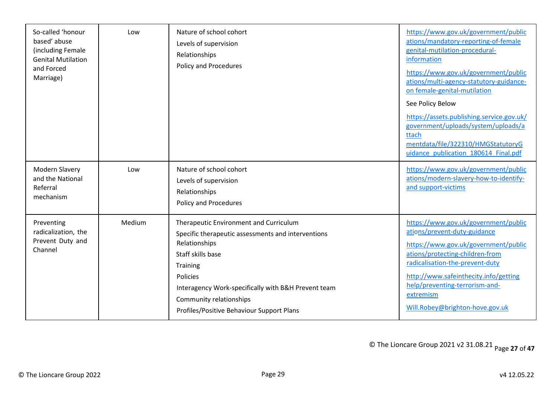| So-called 'honour<br>based' abuse<br>(including Female<br><b>Genital Mutilation</b><br>and Forced<br>Marriage) | Low    | Nature of school cohort<br>Levels of supervision<br>Relationships<br>Policy and Procedures                                                                                                                                                                                                | https://www.gov.uk/government/public<br>ations/mandatory-reporting-of-female<br>genital-mutilation-procedural-<br>information<br>https://www.gov.uk/government/public<br>ations/multi-agency-statutory-guidance-<br>on female-genital-mutilation<br>See Policy Below<br>https://assets.publishing.service.gov.uk/<br>government/uploads/system/uploads/a<br>ttach<br>mentdata/file/322310/HMGStatutoryG<br>uidance publication 180614 Final.pdf |
|----------------------------------------------------------------------------------------------------------------|--------|-------------------------------------------------------------------------------------------------------------------------------------------------------------------------------------------------------------------------------------------------------------------------------------------|-------------------------------------------------------------------------------------------------------------------------------------------------------------------------------------------------------------------------------------------------------------------------------------------------------------------------------------------------------------------------------------------------------------------------------------------------|
| <b>Modern Slavery</b><br>and the National<br>Referral<br>mechanism                                             | Low    | Nature of school cohort<br>Levels of supervision<br>Relationships<br><b>Policy and Procedures</b>                                                                                                                                                                                         | https://www.gov.uk/government/public<br>ations/modern-slavery-how-to-identify-<br>and support-victims                                                                                                                                                                                                                                                                                                                                           |
| Preventing<br>radicalization, the<br>Prevent Duty and<br>Channel                                               | Medium | Therapeutic Environment and Curriculum<br>Specific therapeutic assessments and interventions<br>Relationships<br>Staff skills base<br>Training<br>Policies<br>Interagency Work-specifically with B&H Prevent team<br>Community relationships<br>Profiles/Positive Behaviour Support Plans | https://www.gov.uk/government/public<br>ations/prevent-duty-guidance<br>https://www.gov.uk/government/public<br>ations/protecting-children-from<br>radicalisation-the-prevent-duty<br>http://www.safeinthecity.info/getting<br>help/preventing-terrorism-and-<br>extremism<br>Will.Robey@brighton-hove.gov.uk                                                                                                                                   |

© The Lioncare Group 2021 v2 31.08.21 Page **27** of **47**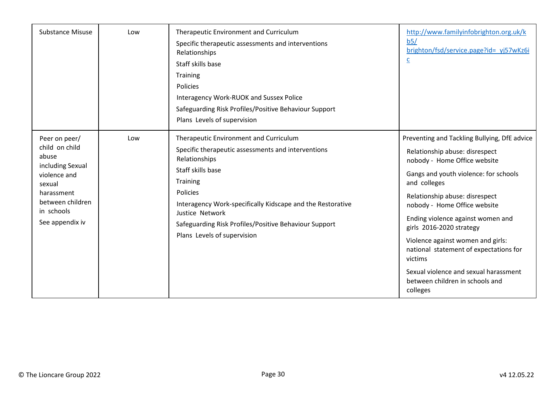| <b>Substance Misuse</b>                                                                                                                                   | Low | Therapeutic Environment and Curriculum<br>Specific therapeutic assessments and interventions<br>Relationships<br>Staff skills base<br>Training<br>Policies<br>Interagency Work-RUOK and Sussex Police<br>Safeguarding Risk Profiles/Positive Behaviour Support<br>Plans Levels of supervision                                       | http://www.familyinfobrighton.org.uk/k<br>b5/<br>brighton/fsd/service.page?id= yj57wKz6i<br>$\overline{c}$                                                                                                                                                                                                                                                                                                                                                                                   |
|-----------------------------------------------------------------------------------------------------------------------------------------------------------|-----|-------------------------------------------------------------------------------------------------------------------------------------------------------------------------------------------------------------------------------------------------------------------------------------------------------------------------------------|----------------------------------------------------------------------------------------------------------------------------------------------------------------------------------------------------------------------------------------------------------------------------------------------------------------------------------------------------------------------------------------------------------------------------------------------------------------------------------------------|
| Peer on peer/<br>child on child<br>abuse<br>including Sexual<br>violence and<br>sexual<br>harassment<br>between children<br>in schools<br>See appendix iv | Low | Therapeutic Environment and Curriculum<br>Specific therapeutic assessments and interventions<br>Relationships<br>Staff skills base<br>Training<br>Policies<br>Interagency Work-specifically Kidscape and the Restorative<br>Justice Network<br>Safeguarding Risk Profiles/Positive Behaviour Support<br>Plans Levels of supervision | Preventing and Tackling Bullying, DfE advice<br>Relationship abuse: disrespect<br>nobody - Home Office website<br>Gangs and youth violence: for schools<br>and colleges<br>Relationship abuse: disrespect<br>nobody - Home Office website<br>Ending violence against women and<br>girls 2016-2020 strategy<br>Violence against women and girls:<br>national statement of expectations for<br>victims<br>Sexual violence and sexual harassment<br>between children in schools and<br>colleges |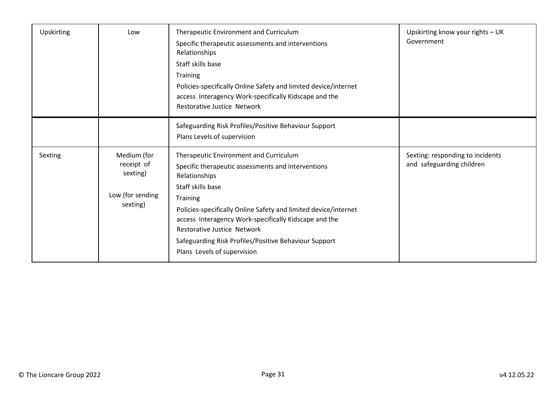| <b>Upskirting</b> | Low                                                                   | Therapeutic Environment and Curriculum<br>Specific therapeutic assessments and interventions<br>Relationships<br>Staff skills base<br>Training<br>Policies-specifically Online Safety and limited device/internet<br>access Interagency Work-specifically Kidscape and the<br>Restorative Justice Network                                                                                                       | Upskirting know your rights - UK<br>Government                |
|-------------------|-----------------------------------------------------------------------|-----------------------------------------------------------------------------------------------------------------------------------------------------------------------------------------------------------------------------------------------------------------------------------------------------------------------------------------------------------------------------------------------------------------|---------------------------------------------------------------|
|                   |                                                                       | Safeguarding Risk Profiles/Positive Behaviour Support<br>Plans Levels of supervision                                                                                                                                                                                                                                                                                                                            |                                                               |
| Sexting           | Medium (for<br>receipt of<br>sexting)<br>Low (for sending<br>sexting) | Therapeutic Environment and Curriculum<br>Specific therapeutic assessments and interventions<br>Relationships<br>Staff skills base<br><b>Training</b><br>Policies-specifically Online Safety and limited device/internet<br>access Interagency Work-specifically Kidscape and the<br><b>Restorative Justice Network</b><br>Safeguarding Risk Profiles/Positive Behaviour Support<br>Plans Levels of supervision | Sexting: responding to incidents<br>and safeguarding children |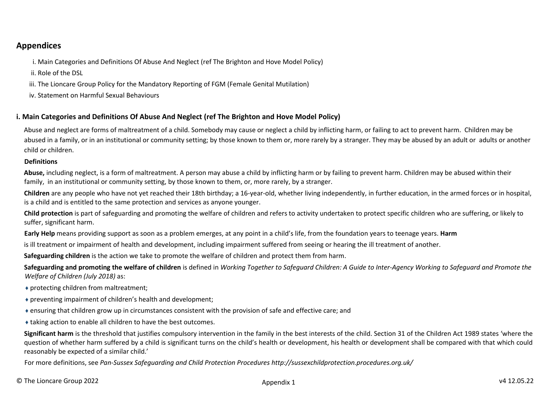# <span id="page-31-0"></span>**Appendices**

i. Main Categories and Definitions Of Abuse And Neglect (ref The Brighton and Hove Model Policy)

ii. Role of the DSL

iii. The Lioncare Group Policy for the Mandatory Reporting of FGM (Female Genital Mutilation)

iv. Statement on Harmful Sexual Behaviours

# <span id="page-31-1"></span>**i. Main Categories and Definitions Of Abuse And Neglect (ref The Brighton and Hove Model Policy)**

Abuse and neglect are forms of maltreatment of a child. Somebody may cause or neglect a child by inflicting harm, or failing to act to prevent harm. Children may be abused in a family, or in an institutional or community setting; by those known to them or, more rarely by a stranger. They may be abused by an adult or adults or another child or children.

## **Definitions**

Abuse, including neglect, is a form of maltreatment. A person may abuse a child by inflicting harm or by failing to prevent harm. Children may be abused within their family, in an institutional or community setting, by those known to them, or, more rarely, by a stranger.

**Children** are any people who have not yet reached their 18th birthday; a 16-year-old, whether living independently, in further education, in the armed forces or in hospital, is a child and is entitled to the same protection and services as anyone younger.

**Child protection** is part of safeguarding and promoting the welfare of children and refers to activity undertaken to protect specific children who are suffering, or likely to suffer, significant harm.

**Early Help** means providing support as soon as a problem emerges, at any point in a child's life, from the foundation years to teenage years. **Harm** 

is ill treatment or impairment of health and development, including impairment suffered from seeing or hearing the ill treatment of another.

**Safeguarding children** is the action we take to promote the welfare of children and protect them from harm.

**Safeguarding and promoting the welfare of children** is defined in *Working Together to Safeguard Children: A Guide to Inter-Agency Working to Safeguard and Promote the Welfare of Children (July 2018)* as:

- ♦ protecting children from maltreatment;
- ♦ preventing impairment of children's health and development;
- ♦ ensuring that children grow up in circumstances consistent with the provision of safe and effective care; and
- ♦ taking action to enable all children to have the best outcomes.

**Significant harm** is the threshold that justifies compulsory intervention in the family in the best interests of the child. Section 31 of the Children Act 1989 states 'where the question of whether harm suffered by a child is significant turns on the child's health or development, his health or development shall be compared with that which could reasonably be expected of a similar child.'

For more definitions, see *Pan-Sussex Safeguarding and Child Protection Procedures http://sussexchildprotection.procedures.org.uk/*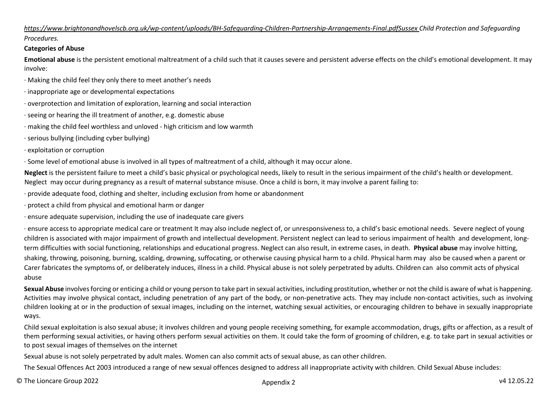## *https://www.brightonandhovelscb.org.uk/wp-content/uploads/BH-Safeguarding-Children-Partnership-Arrangements-Final.pdfSussex Child Protection and Safeguarding Procedures.*

## **Categories of Abuse**

**Emotional abuse** is the persistent emotional maltreatment of a child such that it causes severe and persistent adverse effects on the child's emotional development. It may involve:

- ∙ Making the child feel they only there to meet another's needs
- ∙ inappropriate age or developmental expectations
- ∙ overprotection and limitation of exploration, learning and social interaction
- ∙ seeing or hearing the ill treatment of another, e.g. domestic abuse
- ∙ making the child feel worthless and unloved high criticism and low warmth
- ∙ serious bullying (including cyber bullying)
- ∙ exploitation or corruption

∙ Some level of emotional abuse is involved in all types of maltreatment of a child, although it may occur alone.

**Neglect** is the persistent failure to meet a child's basic physical or psychological needs, likely to result in the serious impairment of the child's health or development. Neglect may occur during pregnancy as a result of maternal substance misuse. Once a child is born, it may involve a parent failing to:

∙ provide adequate food, clothing and shelter, including exclusion from home or abandonment

∙ protect a child from physical and emotional harm or danger

∙ ensure adequate supervision, including the use of inadequate care givers

∙ ensure access to appropriate medical care or treatment It may also include neglect of, or unresponsiveness to, a child's basic emotional needs. Severe neglect of young children is associated with major impairment of growth and intellectual development. Persistent neglect can lead to serious impairment of health and development, longterm difficulties with social functioning, relationships and educational progress. Neglect can also result, in extreme cases, in death. **Physical abuse** may involve hitting, shaking, throwing, poisoning, burning, scalding, drowning, suffocating, or otherwise causing physical harm to a child. Physical harm may also be caused when a parent or Carer fabricates the symptoms of, or deliberately induces, illness in a child. Physical abuse is not solely perpetrated by adults. Children can also commit acts of physical abuse

Sexual Abuse involves forcing or enticing a child or young person to take part in sexual activities, including prostitution, whether or not the child is aware of what is happening. Activities may involve physical contact, including penetration of any part of the body, or non-penetrative acts. They may include non-contact activities, such as involving children looking at or in the production of sexual images, including on the internet, watching sexual activities, or encouraging children to behave in sexually inappropriate ways.

Child sexual exploitation is also sexual abuse; it involves children and young people receiving something, for example accommodation, drugs, gifts or affection, as a result of them performing sexual activities, or having others perform sexual activities on them. It could take the form of grooming of children, e.g. to take part in sexual activities or to post sexual images of themselves on the internet

Sexual abuse is not solely perpetrated by adult males. Women can also commit acts of sexual abuse, as can other children.

The Sexual Offences Act 2003 introduced a range of new sexual offences designed to address all inappropriate activity with children. Child Sexual Abuse includes: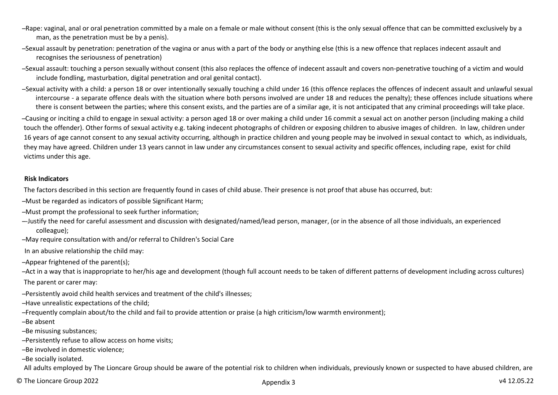- ̶ Rape: vaginal, anal or oral penetration committed by a male on a female or male without consent (this is the only sexual offence that can be committed exclusively by a man, as the penetration must be by a penis).
- ̶ Sexual assault by penetration: penetration of the vagina or anus with a part of the body or anything else (this is a new offence that replaces indecent assault and recognises the seriousness of penetration)
- ̶ Sexual assault: touching a person sexually without consent (this also replaces the offence of indecent assault and covers non-penetrative touching of a victim and would include fondling, masturbation, digital penetration and oral genital contact).
- -Sexual activity with a child: a person 18 or over intentionally sexually touching a child under 16 (this offence replaces the offences of indecent assault and unlawful sexual intercourse - a separate offence deals with the situation where both persons involved are under 18 and reduces the penalty); these offences include situations where there is consent between the parties; where this consent exists, and the parties are of a similar age, it is not anticipated that any criminal proceedings will take place.
- ̶ Causing or inciting a child to engage in sexual activity: a person aged 18 or over making a child under 16 commit a sexual act on another person (including making a child touch the offender). Other forms of sexual activity e.g. taking indecent photographs of children or exposing children to abusive images of children. In law, children under 16 years of age cannot consent to any sexual activity occurring, although in practice children and young people may be involved in sexual contact to which, as individuals, they may have agreed. Children under 13 years cannot in law under any circumstances consent to sexual activity and specific offences, including rape, exist for child victims under this age.

#### **Risk Indicators**

The factors described in this section are frequently found in cases of child abuse. Their presence is not proof that abuse has occurred, but:

- ̶ Must be regarded as indicators of possible Significant Harm;
- ̶ Must prompt the professional to seek further information;
- ̶ -Justify the need for careful assessment and discussion with designated/named/lead person, manager, (or in the absence of all those individuals, an experienced colleague);
- ̶ May require consultation with and/or referral to Children's Social Care
- In an abusive relationship the child may:
- ̶ Appear frightened of the parent(s);
- ̶ Act in a way that is inappropriate to her/his age and development (though full account needs to be taken of different patterns of development including across cultures) The parent or carer may:
- ̶ Persistently avoid child health services and treatment of the child's illnesses;
- ̶ Have unrealistic expectations of the child;
- ̶ Frequently complain about/to the child and fail to provide attention or praise (a high criticism/low warmth environment);
- -Be absent
- -Be misusing substances;
- ̶ Persistently refuse to allow access on home visits;
- -Be involved in domestic violence:
- -Be socially isolated.

All adults employed by The Lioncare Group should be aware of the potential risk to children when individuals, previously known or suspected to have abused children, are

© The Lioncare Group 2022 v4 12.05.22 Appendix 3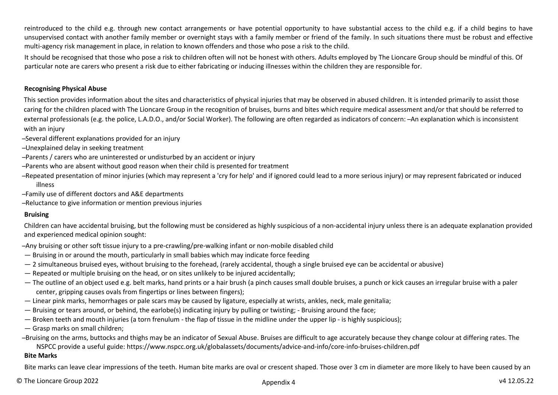reintroduced to the child e.g. through new contact arrangements or have potential opportunity to have substantial access to the child e.g. if a child begins to have unsupervised contact with another family member or overnight stays with a family member or friend of the family. In such situations there must be robust and effective multi-agency risk management in place, in relation to known offenders and those who pose a risk to the child.

It should be recognised that those who pose a risk to children often will not be honest with others. Adults employed by The Lioncare Group should be mindful of this. Of particular note are carers who present a risk due to either fabricating or inducing illnesses within the children they are responsible for.

#### **Recognising Physical Abuse**

This section provides information about the sites and characteristics of physical injuries that may be observed in abused children. It is intended primarily to assist those caring for the children placed with The Lioncare Group in the recognition of bruises, burns and bites which require medical assessment and/or that should be referred to external professionals (e.g. the police, L.A.D.O., and/or Social Worker). The following are often regarded as indicators of concern: ̶ An explanation which is inconsistent with an injury

- ̶ Several different explanations provided for an injury
- ̶ Unexplained delay in seeking treatment
- ̶ Parents / carers who are uninterested or undisturbed by an accident or injury
- ̶ Parents who are absent without good reason when their child is presented for treatment
- ̶ Repeated presentation of minor injuries (which may represent a 'cry for help' and if ignored could lead to a more serious injury) or may represent fabricated or induced illness
- ̶ Family use of different doctors and A&E departments
- ̶ Reluctance to give information or mention previous injuries

## **Bruising**

Children can have accidental bruising, but the following must be considered as highly suspicious of a non-accidental injury unless there is an adequate explanation provided and experienced medical opinion sought:

̶ Any bruising or other soft tissue injury to a pre-crawling/pre-walking infant or non-mobile disabled child

- Bruising in or around the mouth, particularly in small babies which may indicate force feeding
- 2 simultaneous bruised eyes, without bruising to the forehead, (rarely accidental, though a single bruised eye can be accidental or abusive)
- Repeated or multiple bruising on the head, or on sites unlikely to be injured accidentally;
- The outline of an object used e.g. belt marks, hand prints or a hair brush (a pinch causes small double bruises, a punch or kick causes an irregular bruise with a paler center, gripping causes ovals from fingertips or lines between fingers);
- Linear pink marks, hemorrhages or pale scars may be caused by ligature, especially at wrists, ankles, neck, male genitalia;
- Bruising or tears around, or behind, the earlobe(s) indicating injury by pulling or twisting; Bruising around the face;
- Broken teeth and mouth injuries (a torn frenulum the flap of tissue in the midline under the upper lip is highly suspicious);
- Grasp marks on small children;

̶ Bruising on the arms, buttocks and thighs may be an indicator of Sexual Abuse. Bruises are difficult to age accurately because they change colour at differing rates. The NSPCC provide a useful guide: https://www.nspcc.org.uk/globalassets/documents/advice-and-info/core-info-bruises-children.pdf

## **Bite Marks**

Bite marks can leave clear impressions of the teeth. Human bite marks are oval or crescent shaped. Those over 3 cm in diameter are more likely to have been caused by an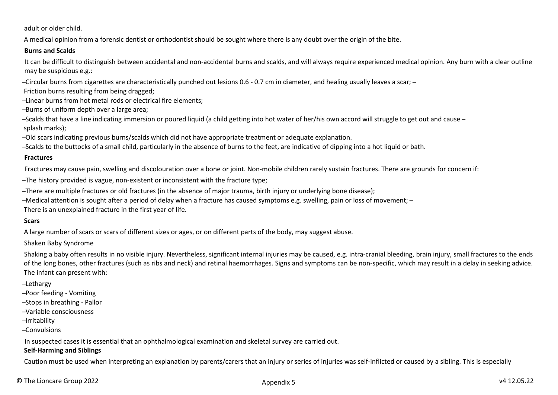adult or older child.

A medical opinion from a forensic dentist or orthodontist should be sought where there is any doubt over the origin of the bite.

## **Burns and Scalds**

It can be difficult to distinguish between accidental and non-accidental burns and scalds, and will always require experienced medical opinion. Any burn with a clear outline may be suspicious e.g.:

-Circular burns from cigarettes are characteristically punched out lesions 0.6 - 0.7 cm in diameter, and healing usually leaves a scar; -

- Friction burns resulting from being dragged;
- -Linear burns from hot metal rods or electrical fire elements;
- -Burns of uniform depth over a large area:
- ̶ Scalds that have a line indicating immersion or poured liquid (a child getting into hot water of her/his own accord will struggle to get out and cause ̶ splash marks);
- ̶ Old scars indicating previous burns/scalds which did not have appropriate treatment or adequate explanation.

̶ Scalds to the buttocks of a small child, particularly in the absence of burns to the feet, are indicative of dipping into a hot liquid or bath.

## **Fractures**

Fractures may cause pain, swelling and discolouration over a bone or joint. Non-mobile children rarely sustain fractures. There are grounds for concern if:

̶ The history provided is vague, non-existent or inconsistent with the fracture type;

- ̶ There are multiple fractures or old fractures (in the absence of major trauma, birth injury or underlying bone disease);
- ̶ Medical attention is sought after a period of delay when a fracture has caused symptoms e.g. swelling, pain or loss of movement; ̶

There is an unexplained fracture in the first year of life.

# **Scars**

A large number of scars or scars of different sizes or ages, or on different parts of the body, may suggest abuse.

# Shaken Baby Syndrome

Shaking a baby often results in no visible injury. Nevertheless, significant internal injuries may be caused, e.g. intra-cranial bleeding, brain injury, small fractures to the ends of the long bones, other fractures (such as ribs and neck) and retinal haemorrhages. Signs and symptoms can be non-specific, which may result in a delay in seeking advice. The infant can present with:

# ̶ Lethargy

- ̶ Poor feeding Vomiting
- ̶ Stops in breathing Pallor
- ̶ Variable consciousness
- ̶ Irritability
- ̶ Convulsions

In suspected cases it is essential that an ophthalmological examination and skeletal survey are carried out.

## **Self-Harming and Siblings**

Caution must be used when interpreting an explanation by parents/carers that an injury or series of injuries was self-inflicted or caused by a sibling. This is especially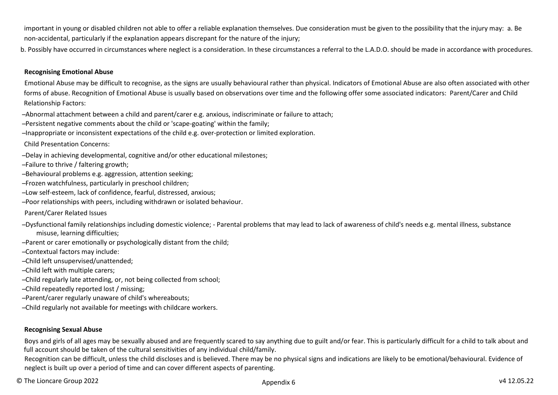important in young or disabled children not able to offer a reliable explanation themselves. Due consideration must be given to the possibility that the injury may: a. Be non-accidental, particularly if the explanation appears discrepant for the nature of the injury;

b. Possibly have occurred in circumstances where neglect is a consideration. In these circumstances a referral to the L.A.D.O. should be made in accordance with procedures.

#### **Recognising Emotional Abuse**

Emotional Abuse may be difficult to recognise, as the signs are usually behavioural rather than physical. Indicators of Emotional Abuse are also often associated with other forms of abuse. Recognition of Emotional Abuse is usually based on observations over time and the following offer some associated indicators: Parent/Carer and Child Relationship Factors:

- ̶ Abnormal attachment between a child and parent/carer e.g. anxious, indiscriminate or failure to attach;
- ̶ Persistent negative comments about the child or 'scape-goating' within the family;
- ̶ Inappropriate or inconsistent expectations of the child e.g. over-protection or limited exploration.

Child Presentation Concerns:

- ̶ Delay in achieving developmental, cognitive and/or other educational milestones;
- ̶ Failure to thrive / faltering growth;
- ̶ Behavioural problems e.g. aggression, attention seeking;
- ̶ Frozen watchfulness, particularly in preschool children;
- ̶ Low self-esteem, lack of confidence, fearful, distressed, anxious;
- ̶ Poor relationships with peers, including withdrawn or isolated behaviour.

Parent/Carer Related Issues

- ̶ Dysfunctional family relationships including domestic violence; Parental problems that may lead to lack of awareness of child's needs e.g. mental illness, substance misuse, learning difficulties;
- ̶ Parent or carer emotionally or psychologically distant from the child;
- ̶ Contextual factors may include:
- ̶ Child left unsupervised/unattended;
- ̶ Child left with multiple carers;
- ̶ Child regularly late attending, or, not being collected from school;
- ̶ Child repeatedly reported lost / missing;
- ̶ Parent/carer regularly unaware of child's whereabouts;
- ̶ Child regularly not available for meetings with childcare workers.

## **Recognising Sexual Abuse**

Boys and girls of all ages may be sexually abused and are frequently scared to say anything due to guilt and/or fear. This is particularly difficult for a child to talk about and full account should be taken of the cultural sensitivities of any individual child/family.

Recognition can be difficult, unless the child discloses and is believed. There may be no physical signs and indications are likely to be emotional/behavioural. Evidence of neglect is built up over a period of time and can cover different aspects of parenting.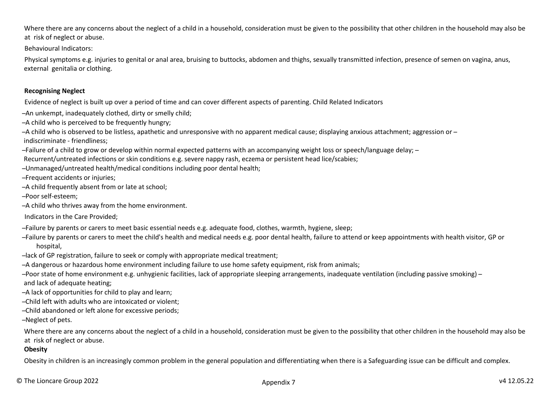Where there are any concerns about the neglect of a child in a household, consideration must be given to the possibility that other children in the household may also be at risk of neglect or abuse.

Behavioural Indicators:

Physical symptoms e.g. injuries to genital or anal area, bruising to buttocks, abdomen and thighs, sexually transmitted infection, presence of semen on vagina, anus, external genitalia or clothing.

## **Recognising Neglect**

Evidence of neglect is built up over a period of time and can cover different aspects of parenting. Child Related Indicators

̶ An unkempt, inadequately clothed, dirty or smelly child;

-A child who is perceived to be frequently hungry:

 $-$ A child who is observed to be listless, apathetic and unresponsive with no apparent medical cause; displaying anxious attachment; aggression or – indiscriminate - friendliness;

̶ Failure of a child to grow or develop within normal expected patterns with an accompanying weight loss or speech/language delay; ̶

Recurrent/untreated infections or skin conditions e.g. severe nappy rash, eczema or persistent head lice/scabies;

̶ Unmanaged/untreated health/medical conditions including poor dental health;

̶ Frequent accidents or injuries;

- -A child frequently absent from or late at school;
- ̶ Poor self-esteem;
- -A child who thrives away from the home environment.

Indicators in the Care Provided;

- ̶ Failure by parents or carers to meet basic essential needs e.g. adequate food, clothes, warmth, hygiene, sleep;
- ̶ Failure by parents or carers to meet the child's health and medical needs e.g. poor dental health, failure to attend or keep appointments with health visitor, GP or hospital,
- ̶ lack of GP registration, failure to seek or comply with appropriate medical treatment;

̶ A dangerous or hazardous home environment including failure to use home safety equipment, risk from animals;

̶ Poor state of home environment e.g. unhygienic facilities, lack of appropriate sleeping arrangements, inadequate ventilation (including passive smoking) ̶ and lack of adequate heating;

-A lack of opportunities for child to play and learn;

̶ Child left with adults who are intoxicated or violent;

̶ Child abandoned or left alone for excessive periods;

̶ Neglect of pets.

Where there are any concerns about the neglect of a child in a household, consideration must be given to the possibility that other children in the household may also be at risk of neglect or abuse.

### **Obesity**

Obesity in children is an increasingly common problem in the general population and differentiating when there is a Safeguarding issue can be difficult and complex.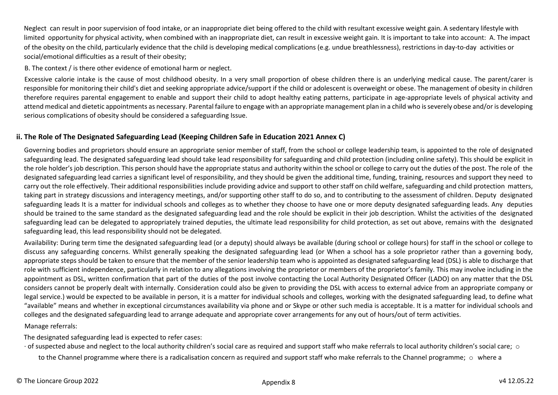Neglect can result in poor supervision of food intake, or an inappropriate diet being offered to the child with resultant excessive weight gain. A sedentary lifestyle with limited opportunity for physical activity, when combined with an inappropriate diet, can result in excessive weight gain. It is important to take into account: A. The impact of the obesity on the child, particularly evidence that the child is developing medical complications (e.g. undue breathlessness), restrictions in day-to-day activities or social/emotional difficulties as a result of their obesity;

B. The context / is there other evidence of emotional harm or neglect.

Excessive calorie intake is the cause of most childhood obesity. In a very small proportion of obese children there is an underlying medical cause. The parent/carer is responsible for monitoring their child's diet and seeking appropriate advice/support if the child or adolescent is overweight or obese. The management of obesity in children therefore requires parental engagement to enable and support their child to adopt healthy eating patterns, participate in age-appropriate levels of physical activity and attend medical and dietetic appointments as necessary. Parental failure to engage with an appropriate management plan in a child who is severely obese and/or is developing serious complications of obesity should be considered a safeguarding Issue.

## <span id="page-38-0"></span>**ii. The Role of The Designated Safeguarding Lead (Keeping Children Safe in Education 2021 Annex C)**

Governing bodies and proprietors should ensure an appropriate senior member of staff, from the school or college leadership team, is appointed to the role of designated safeguarding lead. The designated safeguarding lead should take lead responsibility for safeguarding and child protection (including online safety). This should be explicit in the role holder's job description. This person should have the appropriate status and authority within the school or college to carry out the duties of the post. The role of the designated safeguarding lead carries a significant level of responsibility, and they should be given the additional time, funding, training, resources and support they need to carry out the role effectively. Their additional responsibilities include providing advice and support to other staff on child welfare, safeguarding and child protection matters, taking part in strategy discussions and interagency meetings, and/or supporting other staff to do so, and to contributing to the assessment of children. Deputy designated safeguarding leads It is a matter for individual schools and colleges as to whether they choose to have one or more deputy designated safeguarding leads. Any deputies should be trained to the same standard as the designated safeguarding lead and the role should be explicit in their job description. Whilst the activities of the designated safeguarding lead can be delegated to appropriately trained deputies, the ultimate lead responsibility for child protection, as set out above, remains with the designated safeguarding lead, this lead responsibility should not be delegated.

Availability: During term time the designated safeguarding lead (or a deputy) should always be available (during school or college hours) for staff in the school or college to discuss any safeguarding concerns. Whilst generally speaking the designated safeguarding lead (or When a school has a sole proprietor rather than a governing body, appropriate steps should be taken to ensure that the member of the senior leadership team who is appointed as designated safeguarding lead (DSL) is able to discharge that role with sufficient independence, particularly in relation to any allegations involving the proprietor or members of the proprietor's family. This may involve including in the appointment as DSL, written confirmation that part of the duties of the post involve contacting the Local Authority Designated Officer (LADO) on any matter that the DSL considers cannot be properly dealt with internally. Consideration could also be given to providing the DSL with access to external advice from an appropriate company or legal service.) would be expected to be available in person, it is a matter for individual schools and colleges, working with the designated safeguarding lead, to define what "available" means and whether in exceptional circumstances availability via phone and or Skype or other such media is acceptable. It is a matter for individual schools and colleges and the designated safeguarding lead to arrange adequate and appropriate cover arrangements for any out of hours/out of term activities. Manage referrals:

The designated safeguarding lead is expected to refer cases:

- $\cdot$  of suspected abuse and neglect to the local authority children's social care as required and support staff who make referrals to local authority children's social care;  $\circ$ to the Channel programme where there is a radicalisation concern as required and support staff who make referrals to the Channel programme;  $\circ$  where a
- © The Lioncare Group 2022 v4 12.05.22 Appendix 8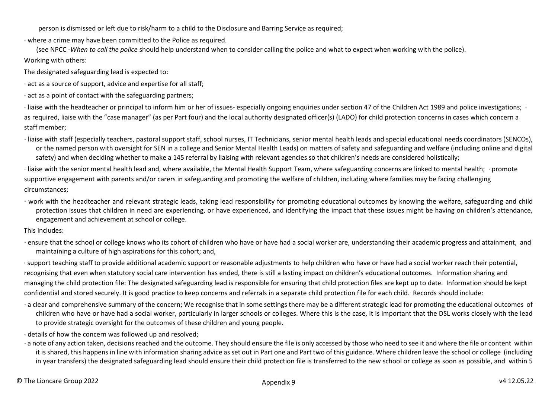person is dismissed or left due to risk/harm to a child to the Disclosure and Barring Service as required;

∙ where a crime may have been committed to the Police as required.

(see NPCC -*When to call the police* should help understand when to consider calling the police and what to expect when working with the police). Working with others:

The designated safeguarding lead is expected to:

∙ act as a source of support, advice and expertise for all staff;

∙ act as a point of contact with the safeguarding partners;

∙ liaise with the headteacher or principal to inform him or her of issues- especially ongoing enquiries under section 47 of the Children Act 1989 and police investigations; ∙ as required, liaise with the "case manager" (as per Part four) and the local authority designated officer(s) (LADO) for child protection concerns in cases which concern a staff member;

∙ liaise with staff (especially teachers, pastoral support staff, school nurses, IT Technicians, senior mental health leads and special educational needs coordinators (SENCOs), or the named person with oversight for SEN in a college and Senior Mental Health Leads) on matters of safety and safeguarding and welfare (including online and digital safety) and when deciding whether to make a 145 referral by liaising with relevant agencies so that children's needs are considered holistically;

∙ liaise with the senior mental health lead and, where available, the Mental Health Support Team, where safeguarding concerns are linked to mental health; ∙ promote supportive engagement with parents and/or carers in safeguarding and promoting the welfare of children, including where families may be facing challenging circumstances;

∙ work with the headteacher and relevant strategic leads, taking lead responsibility for promoting educational outcomes by knowing the welfare, safeguarding and child protection issues that children in need are experiencing, or have experienced, and identifying the impact that these issues might be having on children's attendance, engagement and achievement at school or college.

This includes:

∙ ensure that the school or college knows who its cohort of children who have or have had a social worker are, understanding their academic progress and attainment, and maintaining a culture of high aspirations for this cohort; and,

∙ support teaching staff to provide additional academic support or reasonable adjustments to help children who have or have had a social worker reach their potential, recognising that even when statutory social care intervention has ended, there is still a lasting impact on children's educational outcomes. Information sharing and managing the child protection file: The designated safeguarding lead is responsible for ensuring that child protection files are kept up to date. Information should be kept confidential and stored securely. It is good practice to keep concerns and referrals in a separate child protection file for each child. Records should include:

- ∙ a clear and comprehensive summary of the concern; We recognise that in some settings there may be a different strategic lead for promoting the educational outcomes of children who have or have had a social worker, particularly in larger schools or colleges. Where this is the case, it is important that the DSL works closely with the lead to provide strategic oversight for the outcomes of these children and young people.
- ∙ details of how the concern was followed up and resolved;
- ∙ a note of any action taken, decisions reached and the outcome. They should ensure the file is only accessed by those who need to see it and where the file or content within it is shared, this happens in line with information sharing advice as set out in Part one and Part two of this guidance. Where children leave the school or college (including in year transfers) the designated safeguarding lead should ensure their child protection file is transferred to the new school or college as soon as possible, and within 5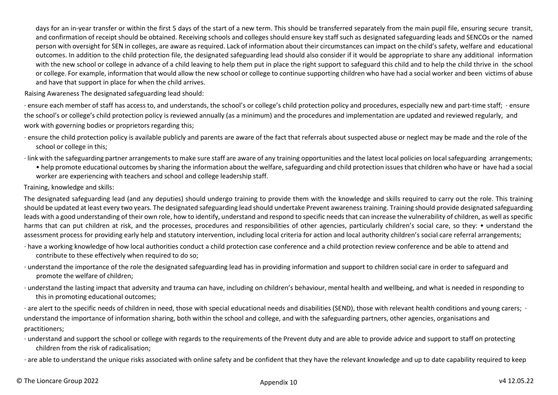days for an in-year transfer or within the first 5 days of the start of a new term. This should be transferred separately from the main pupil file, ensuring secure transit, and confirmation of receipt should be obtained. Receiving schools and colleges should ensure key staff such as designated safeguarding leads and SENCOs or the named person with oversight for SEN in colleges, are aware as required. Lack of information about their circumstances can impact on the child's safety, welfare and educational outcomes. In addition to the child protection file, the designated safeguarding lead should also consider if it would be appropriate to share any additional information with the new school or college in advance of a child leaving to help them put in place the right support to safeguard this child and to help the child thrive in the school or college. For example, information that would allow the new school or college to continue supporting children who have had a social worker and been victims of abuse and have that support in place for when the child arrives.

Raising Awareness The designated safeguarding lead should:

∙ ensure each member of staff has access to, and understands, the school's or college's child protection policy and procedures, especially new and part-time staff; ∙ ensure the school's or college's child protection policy is reviewed annually (as a minimum) and the procedures and implementation are updated and reviewed regularly, and work with governing bodies or proprietors regarding this;

- ∙ ensure the child protection policy is available publicly and parents are aware of the fact that referrals about suspected abuse or neglect may be made and the role of the school or college in this;
- ∙ link with the safeguarding partner arrangements to make sure staff are aware of any training opportunities and the latest local policies on localsafeguarding arrangements;
	- help promote educational outcomes by sharing the information about the welfare, safeguarding and child protection issues that children who have or have had a social worker are experiencing with teachers and school and college leadership staff.

Training, knowledge and skills:

The designated safeguarding lead (and any deputies) should undergo training to provide them with the knowledge and skills required to carry out the role. This training should be updated at least every two years. The designated safeguarding lead should undertake Prevent awareness training. Training should provide designated safeguarding leads with a good understanding of their own role, how to identify, understand and respond to specific needs that can increase the vulnerability of children, as well as specific harms that can put children at risk, and the processes, procedures and responsibilities of other agencies, particularly children's social care, so they: • understand the assessment process for providing early help and statutory intervention, including local criteria for action and local authority children's social care referral arrangements;

- ∙ have a working knowledge of how local authorities conduct a child protection case conference and a child protection review conference and be able to attend and contribute to these effectively when required to do so;
- ∙ understand the importance of the role the designated safeguarding lead has in providing information and support to children social care in order to safeguard and promote the welfare of children;
- ∙ understand the lasting impact that adversity and trauma can have, including on children's behaviour, mental health and wellbeing, and what is needed in responding to this in promoting educational outcomes;

∙ are alert to the specific needs of children in need, those with special educational needs and disabilities (SEND), those with relevant health conditions and young carers; ∙ understand the importance of information sharing, both within the school and college, and with the safeguarding partners, other agencies, organisations and practitioners;

∙ understand and support the school or college with regards to the requirements of the Prevent duty and are able to provide advice and support to staff on protecting children from the risk of radicalisation;

∙ are able to understand the unique risks associated with online safety and be confident that they have the relevant knowledge and up to date capability required to keep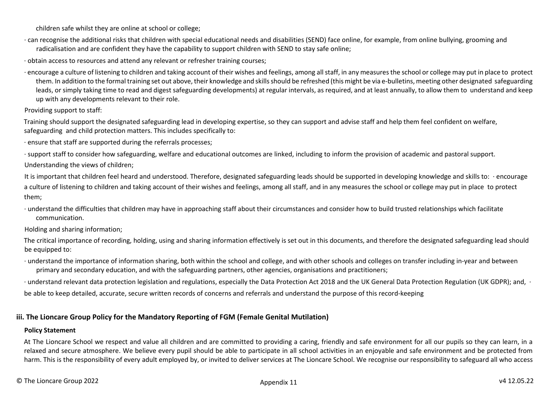children safe whilst they are online at school or college;

- ∙ can recognise the additional risks that children with special educational needs and disabilities (SEND) face online, for example, from online bullying, grooming and radicalisation and are confident they have the capability to support children with SEND to stay safe online;
- ∙ obtain access to resources and attend any relevant or refresher training courses;
- ∙ encourage a culture of listening to children and taking account of their wishes and feelings, among allstaff, in any measuresthe school or college may put in place to protect them. In addition to the formal training set out above, their knowledge and skills should be refreshed (this might be via e-bulletins, meeting other designated safeguarding leads, or simply taking time to read and digest safeguarding developments) at regular intervals, as required, and at least annually, to allow them to understand and keep up with any developments relevant to their role.

Providing support to staff:

Training should support the designated safeguarding lead in developing expertise, so they can support and advise staff and help them feel confident on welfare, safeguarding and child protection matters. This includes specifically to:

∙ ensure that staff are supported during the referrals processes;

∙ support staff to consider how safeguarding, welfare and educational outcomes are linked, including to inform the provision of academic and pastoral support. Understanding the views of children;

It is important that children feel heard and understood. Therefore, designated safeguarding leads should be supported in developing knowledge and skills to: ∙ encourage a culture of listening to children and taking account of their wishes and feelings, among all staff, and in any measures the school or college may put in place to protect them;

∙ understand the difficulties that children may have in approaching staff about their circumstances and consider how to build trusted relationships which facilitate communication.

Holding and sharing information;

The critical importance of recording, holding, using and sharing information effectively is set out in this documents, and therefore the designated safeguarding lead should be equipped to:

∙ understand the importance of information sharing, both within the school and college, and with other schools and colleges on transfer including in-year and between primary and secondary education, and with the safeguarding partners, other agencies, organisations and practitioners;

∙ understand relevant data protection legislation and regulations, especially the Data Protection Act 2018 and the UK General Data Protection Regulation (UK GDPR); and, ∙ be able to keep detailed, accurate, secure written records of concerns and referrals and understand the purpose of this record-keeping

## <span id="page-41-0"></span>**iii. The Lioncare Group Policy for the Mandatory Reporting of FGM (Female Genital Mutilation)**

### **Policy Statement**

At The Lioncare School we respect and value all children and are committed to providing a caring, friendly and safe environment for all our pupils so they can learn, in a relaxed and secure atmosphere. We believe every pupil should be able to participate in all school activities in an enjoyable and safe environment and be protected from harm. This is the responsibility of every adult employed by, or invited to deliver services at The Lioncare School. We recognise our responsibility to safeguard all who access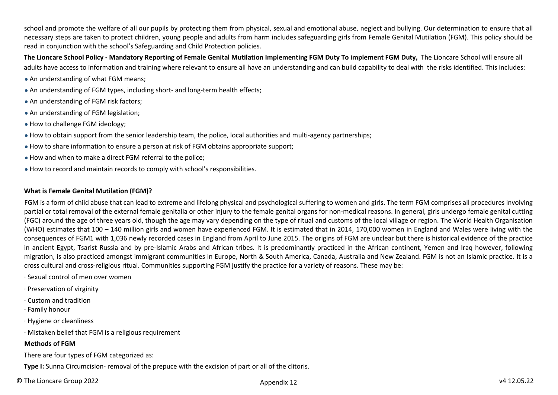school and promote the welfare of all our pupils by protecting them from physical, sexual and emotional abuse, neglect and bullying. Our determination to ensure that all necessary steps are taken to protect children, young people and adults from harm includes safeguarding girls from Female Genital Mutilation (FGM). This policy should be read in conjunction with the school's Safeguarding and Child Protection policies.

**The Lioncare School Policy - Mandatory Reporting of Female Genital Mutilation Implementing FGM Duty To implement FGM Duty,** The Lioncare School will ensure all adults have access to information and training where relevant to ensure all have an understanding and can build capability to deal with the risks identified. This includes:

- An understanding of what FGM means;
- An understanding of FGM types, including short- and long-term health effects;
- An understanding of FGM risk factors;
- An understanding of FGM legislation:
- How to challenge FGM ideology;
- How to obtain support from the senior leadership team, the police, local authorities and multi-agency partnerships;
- How to share information to ensure a person at risk of FGM obtains appropriate support;
- How and when to make a direct FGM referral to the police;
- How to record and maintain records to comply with school's responsibilities.

#### **What is Female Genital Mutilation (FGM)?**

FGM is a form of child abuse that can lead to extreme and lifelong physical and psychological suffering to women and girls. The term FGM comprises all procedures involving partial or total removal of the external female genitalia or other injury to the female genital organs for non-medical reasons. In general, girls undergo female genital cutting (FGC) around the age of three years old, though the age may vary depending on the type of ritual and customs of the local village or region. The World Health Organisation (WHO) estimates that 100 – 140 million girls and women have experienced FGM. It is estimated that in 2014, 170,000 women in England and Wales were living with the consequences of FGM1 with 1,036 newly recorded cases in England from April to June 2015. The origins of FGM are unclear but there is historical evidence of the practice in ancient Egypt, Tsarist Russia and by pre-Islamic Arabs and African tribes. It is predominantly practiced in the African continent, Yemen and Iraq however, following migration, is also practiced amongst immigrant communities in Europe, North & South America, Canada, Australia and New Zealand. FGM is not an Islamic practice. It is a cross cultural and cross-religious ritual. Communities supporting FGM justify the practice for a variety of reasons. These may be:

- ∙ Sexual control of men over women
- ∙ Preservation of virginity
- ∙ Custom and tradition
- ∙ Family honour
- ∙ Hygiene or cleanliness
- ∙ Mistaken belief that FGM is a religious requirement

#### **Methods of FGM**

There are four types of FGM categorized as:

**Type I:** Sunna Circumcision- removal of the prepuce with the excision of part or all of the clitoris.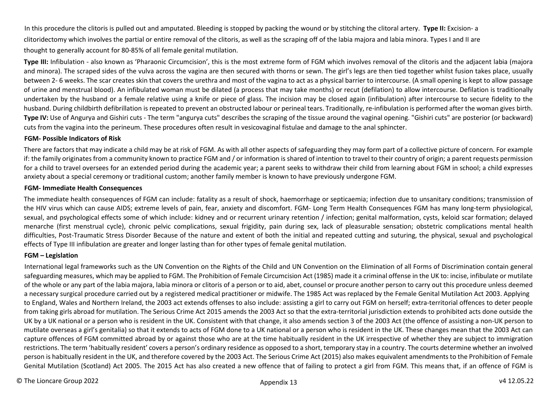In this procedure the clitoris is pulled out and amputated. Bleeding is stopped by packing the wound or by stitching the clitoral artery. **Type II:** Excision- a clitoridectomy which involves the partial or entire removal of the clitoris, as well as the scraping off of the labia majora and labia minora. Types I and II are thought to generally account for 80-85% of all female genital mutilation.

Type III: Infibulation - also known as 'Pharaonic Circumcision', this is the most extreme form of FGM which involves removal of the clitoris and the adjacent labia (majora and minora). The scraped sides of the vulva across the vagina are then secured with thorns or sewn. The girl's legs are then tied together whilst fusion takes place, usually between 2- 6 weeks. The scar creates skin that covers the urethra and most of the vagina to act as a physical barrier to intercourse. (A small opening is kept to allow passage of urine and menstrual blood). An infibulated woman must be dilated (a process that may take months) or recut (defilation) to allow intercourse. Defilation is traditionally undertaken by the husband or a female relative using a knife or piece of glass. The incision may be closed again (infibulation) after intercourse to secure fidelity to the husband. During childbirth defibrillation is repeated to prevent an obstructed labour or perineal tears. Traditionally, re-infibulation is performed after the woman gives birth. Type IV: Use of Angurya and Gishiri cuts - The term "angurya cuts" describes the scraping of the tissue around the vaginal opening. "Gishiri cuts" are posterior (or backward) cuts from the vagina into the perineum. These procedures often result in vesicovaginal fistulae and damage to the anal sphincter.

#### **FGM- Possible Indicators of Risk**

There are factors that may indicate a child may be at risk of FGM. As with all other aspects of safeguarding they may form part of a collective picture of concern. For example if: the family originates from a community known to practice FGM and / or information is shared of intention to travel to their country of origin; a parent requests permission for a child to travel oversees for an extended period during the academic year; a parent seeks to withdraw their child from learning about FGM in school; a child expresses anxiety about a special ceremony or traditional custom; another family member is known to have previously undergone FGM.

#### **FGM- Immediate Health Consequences**

The immediate health consequences of FGM can include: fatality as a result of shock, haemorrhage or septicaemia; infection due to unsanitary conditions; transmission of the HIV virus which can cause AIDS; extreme levels of pain, fear, anxiety and discomfort. FGM- Long Term Health Consequences FGM has many long-term physiological, sexual, and psychological effects some of which include: kidney and or recurrent urinary retention / infection; genital malformation, cysts, keloid scar formation; delayed menarche (first menstrual cycle), chronic pelvic complications, sexual frigidity, pain during sex, lack of pleasurable sensation; obstetric complications mental health difficulties, Post-Traumatic Stress Disorder Because of the nature and extent of both the initial and repeated cutting and suturing, the physical, sexual and psychological effects of Type III infibulation are greater and longer lasting than for other types of female genital mutilation.

#### **FGM – Legislation**

International legal frameworks such as the UN Convention on the Rights of the Child and UN Convention on the Elimination of all Forms of Discrimination contain general safeguarding measures, which may be applied to FGM. The Prohibition of Female Circumcision Act (1985) made it a criminal offense in the UK to: incise, infibulate or mutilate of the whole or any part of the labia majora, labia minora or clitoris of a person or to aid, abet, counsel or procure another person to carry out this procedure unless deemed a necessary surgical procedure carried out by a registered medical practitioner or midwife. The 1985 Act was replaced by the Female Genital Mutilation Act 2003. Applying to England, Wales and Northern Ireland, the 2003 act extends offenses to also include: assisting a girl to carry out FGM on herself; extra-territorial offences to deter people from taking girls abroad for mutilation. The Serious Crime Act 2015 amends the 2003 Act so that the extra-territorial jurisdiction extends to prohibited acts done outside the UK by a UK national or a person who is resident in the UK. Consistent with that change, it also amends section 3 of the 2003 Act (the offence of assisting a non-UK person to mutilate overseas a girl's genitalia) so that it extends to acts of FGM done to a UK national or a person who is resident in the UK. These changes mean that the 2003 Act can capture offences of FGM committed abroad by or against those who are at the time habitually resident in the UK irrespective of whether they are subject to immigration restrictions. The term 'habitually resident' covers a person's ordinary residence as opposed to a short, temporary stay in a country. The courts determine whether an involved person is habitually resident in the UK, and therefore covered by the 2003 Act. The Serious Crime Act (2015) also makes equivalent amendments to the Prohibition of Female Genital Mutilation (Scotland) Act 2005. The 2015 Act has also created a new offence that of failing to protect a girl from FGM. This means that, if an offence of FGM is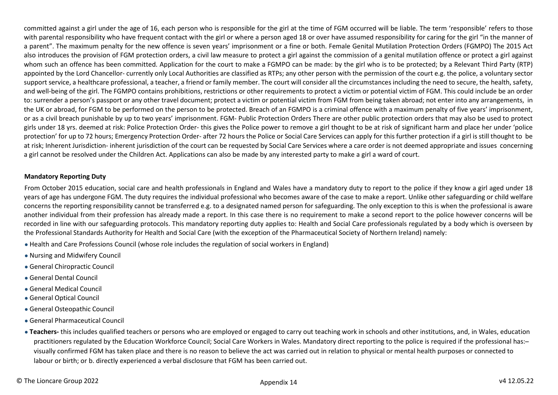committed against a girl under the age of 16, each person who is responsible for the girl at the time of FGM occurred will be liable. The term 'responsible' refers to those with parental responsibility who have frequent contact with the girl or where a person aged 18 or over have assumed responsibility for caring for the girl "in the manner of a parent". The maximum penalty for the new offence is seven years' imprisonment or a fine or both. Female Genital Mutilation Protection Orders (FGMPO) The 2015 Act also introduces the provision of FGM protection orders, a civil law measure to protect a girl against the commission of a genital mutilation offence or protect a girl against whom such an offence has been committed. Application for the court to make a FGMPO can be made: by the girl who is to be protected; by a Relevant Third Party (RTP) appointed by the Lord Chancellor- currently only Local Authorities are classified as RTPs; any other person with the permission of the court e.g. the police, a voluntary sector support service, a healthcare professional, a teacher, a friend or family member. The court will consider all the circumstances including the need to secure, the health, safety, and well-being of the girl. The FGMPO contains prohibitions, restrictions or other requirements to protect a victim or potential victim of FGM. This could include be an order to: surrender a person's passport or any other travel document; protect a victim or potential victim from FGM from being taken abroad; not enter into any arrangements, in the UK or abroad, for FGM to be performed on the person to be protected. Breach of an FGMPO is a criminal offence with a maximum penalty of five years' imprisonment, or as a civil breach punishable by up to two years' imprisonment. FGM- Public Protection Orders There are other public protection orders that may also be used to protect girls under 18 yrs. deemed at risk: Police Protection Order- this gives the Police power to remove a girl thought to be at risk of significant harm and place her under 'police protection' for up to 72 hours; Emergency Protection Order- after 72 hours the Police or Social Care Services can apply for this further protection if a girl is still thought to be at risk; Inherent Jurisdiction- inherent jurisdiction of the court can be requested by Social Care Services where a care order is not deemed appropriate and issues concerning a girl cannot be resolved under the Children Act. Applications can also be made by any interested party to make a girl a ward of court.

#### **Mandatory Reporting Duty**

From October 2015 education, social care and health professionals in England and Wales have a mandatory duty to report to the police if they know a girl aged under 18 years of age has undergone FGM. The duty requires the individual professional who becomes aware of the case to make a report. Unlike other safeguarding or child welfare concerns the reporting responsibility cannot be transferred e.g. to a designated named person for safeguarding. The only exception to this is when the professional is aware another individual from their profession has already made a report. In this case there is no requirement to make a second report to the police however concerns will be recorded in line with our safeguarding protocols. This mandatory reporting duty applies to: Health and Social Care professionals regulated by a body which is overseen by the Professional Standards Authority for Health and Social Care (with the exception of the Pharmaceutical Society of Northern Ireland) namely:

- Health and Care Professions Council (whose role includes the regulation of social workers in England)
- Nursing and Midwifery Council
- General Chiropractic Council
- General Dental Council
- General Medical Council
- General Optical Council
- General Osteopathic Council
- General Pharmaceutical Council
- **Teachers-** this includes qualified teachers or persons who are employed or engaged to carry out teaching work in schools and other institutions, and, in Wales, education practitioners regulated by the Education Workforce Council; Social Care Workers in Wales. Mandatory direct reporting to the police is required if the professional has:visually confirmed FGM has taken place and there is no reason to believe the act was carried out in relation to physical or mental health purposes or connected to labour or birth; or b. directly experienced a verbal disclosure that FGM has been carried out.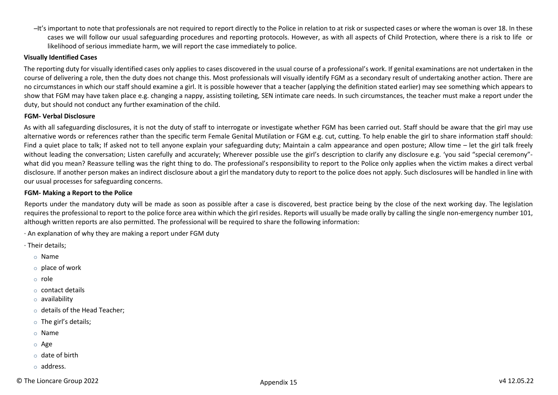̶ It's important to note that professionals are not required to report directly to the Police in relation to at risk or suspected cases or where the woman is over 18. In these cases we will follow our usual safeguarding procedures and reporting protocols. However, as with all aspects of Child Protection, where there is a risk to life or likelihood of serious immediate harm, we will report the case immediately to police.

#### **Visually Identified Cases**

The reporting duty for visually identified cases only applies to cases discovered in the usual course of a professional's work. If genital examinations are not undertaken in the course of delivering a role, then the duty does not change this. Most professionals will visually identify FGM as a secondary result of undertaking another action. There are no circumstances in which our staff should examine a girl. It is possible however that a teacher (applying the definition stated earlier) may see something which appears to show that FGM may have taken place e.g. changing a nappy, assisting toileting, SEN intimate care needs. In such circumstances, the teacher must make a report under the duty, but should not conduct any further examination of the child.

#### **FGM- Verbal Disclosure**

As with all safeguarding disclosures, it is not the duty of staff to interrogate or investigate whether FGM has been carried out. Staff should be aware that the girl may use alternative words or references rather than the specific term Female Genital Mutilation or FGM e.g. cut, cutting. To help enable the girl to share information staff should: Find a quiet place to talk; If asked not to tell anyone explain your safeguarding duty; Maintain a calm appearance and open posture; Allow time – let the girl talk freely without leading the conversation; Listen carefully and accurately; Wherever possible use the girl's description to clarify any disclosure e.g. 'you said "special ceremony"what did you mean? Reassure telling was the right thing to do. The professional's responsibility to report to the Police only applies when the victim makes a direct verbal disclosure. If another person makes an indirect disclosure about a girl the mandatory duty to report to the police does not apply. Such disclosures will be handled in line with our usual processes for safeguarding concerns.

#### **FGM- Making a Report to the Police**

Reports under the mandatory duty will be made as soon as possible after a case is discovered, best practice being by the close of the next working day. The legislation requires the professional to report to the police force area within which the girl resides. Reports will usually be made orally by calling the single non-emergency number 101, although written reports are also permitted. The professional will be required to share the following information:

∙ An explanation of why they are making a report under FGM duty

- ∙ Their details;
	- o Name
	- o place of work
	- o role
	- o contact details
	- o availability
	- o details of the Head Teacher;
	- $\circ$  The girl's details:
	- o Name
	- o Age
	- $\circ$  date of hirth
	- o address.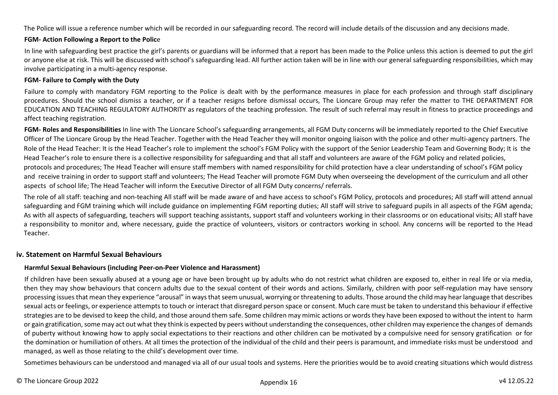The Police will issue a reference number which will be recorded in our safeguarding record. The record will include details of the discussion and any decisions made.

#### **FGM- Action Following a Report to the Polic**e

In line with safeguarding best practice the girl's parents or guardians will be informed that a report has been made to the Police unless this action is deemed to put the girl or anyone else at risk. This will be discussed with school's safeguarding lead. All further action taken will be in line with our general safeguarding responsibilities, which may involve participating in a multi-agency response.

#### **FGM- Failure to Comply with the Duty**

Failure to comply with mandatory FGM reporting to the Police is dealt with by the performance measures in place for each profession and through staff disciplinary procedures. Should the school dismiss a teacher, or if a teacher resigns before dismissal occurs, The Lioncare Group may refer the matter to THE DEPARTMENT FOR EDUCATION AND TEACHING REGULATORY AUTHORITY as regulators of the teaching profession. The result of such referral may result in fitness to practice proceedings and affect teaching registration.

**FGM- Roles and Responsibilities** In line with The Lioncare School's safeguarding arrangements, all FGM Duty concerns will be immediately reported to the Chief Executive Officer of The Lioncare Group by the Head Teacher. Together with the Head Teacher they will monitor ongoing liaison with the police and other multi-agency partners. The Role of the Head Teacher: It is the Head Teacher's role to implement the school's FGM Policy with the support of the Senior Leadership Team and Governing Body; It is the Head Teacher's role to ensure there is a collective responsibility for safeguarding and that all staff and volunteers are aware of the FGM policy and related policies, protocols and procedures; The Head Teacher will ensure staff members with named responsibility for child protection have a clear understanding of school's FGM policy and receive training in order to support staff and volunteers; The Head Teacher will promote FGM Duty when overseeing the development of the curriculum and all other aspects of school life; The Head Teacher will inform the Executive Director of all FGM Duty concerns/ referrals.

The role of all staff: teaching and non-teaching All staff will be made aware of and have access to school's FGM Policy, protocols and procedures; All staff will attend annual safeguarding and FGM training which will include guidance on implementing FGM reporting duties; All staff will strive to safeguard pupils in all aspects of the FGM agenda; As with all aspects of safeguarding, teachers will support teaching assistants, support staff and volunteers working in their classrooms or on educational visits; All staff have a responsibility to monitor and, where necessary, guide the practice of volunteers, visitors or contractors working in school. Any concerns will be reported to the Head Teacher.

### <span id="page-46-0"></span>**iv. Statement on Harmful Sexual Behaviours**

#### **Harmful Sexual Behaviours (including Peer-on-Peer Violence and Harassment)**

If children have been sexually abused at a young age or have been brought up by adults who do not restrict what children are exposed to, either in real life or via media, then they may show behaviours that concern adults due to the sexual content of their words and actions. Similarly, children with poor self-regulation may have sensory processing issues that mean they experience "arousal" in ways that seem unusual, worrying or threatening to adults. Those around the child may hear language that describes sexual acts or feelings, or experience attempts to touch or interact that disregard person space or consent. Much care must be taken to understand this behaviour if effective strategies are to be devised to keep the child, and those around them safe. Some children may mimic actions or words they have been exposed to without the intent to harm or gain gratification, some may act out what they think is expected by peers without understanding the consequences, other children may experience the changes of demands of puberty without knowing how to apply social expectations to their reactions and other children can be motivated by a compulsive need for sensory gratification or for the domination or humiliation of others. At all times the protection of the individual of the child and their peers is paramount, and immediate risks must be understood and managed, as well as those relating to the child's development over time.

Sometimes behaviours can be understood and managed via all of our usual tools and systems. Here the priorities would be to avoid creating situations which would distress